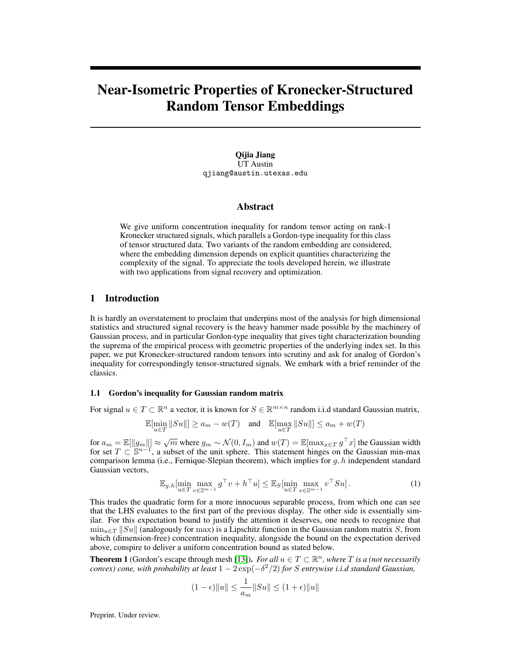# Near-Isometric Properties of Kronecker-Structured Random Tensor Embeddings

Qijia Jiang UT Austin qjiang@austin.utexas.edu

## Abstract

We give uniform concentration inequality for random tensor acting on rank-1 Kronecker structured signals, which parallels a Gordon-type inequality for this class of tensor structured data. Two variants of the random embedding are considered, where the embedding dimension depends on explicit quantities characterizing the complexity of the signal. To appreciate the tools developed herein, we illustrate with two applications from signal recovery and optimization.

## 1 Introduction

It is hardly an overstatement to proclaim that underpins most of the analysis for high dimensional statistics and structured signal recovery is the heavy hammer made possible by the machinery of Gaussian process, and in particular Gordon-type inequality that gives tight characterization bounding the suprema of the empirical process with geometric properties of the underlying index set. In this paper, we put Kronecker-structured random tensors into scrutiny and ask for analog of Gordon's inequality for correspondingly tensor-structured signals. We embark with a brief reminder of the classics.

## 1.1 Gordon's inequality for Gaussian random matrix

For signal  $u \in T \subset \mathbb{R}^n$  a vector, it is known for  $S \in \mathbb{R}^{m \times n}$  random i.i.d standard Gaussian matrix,

$$
\mathbb{E}[\min_{u \in T} \|Su\|] \geq a_m - w(T) \quad \text{and} \quad \mathbb{E}[\max_{u \in T} \|Su\|] \leq a_m + w(T)
$$

for  $a_m = \mathbb{E}[\Vert g_m \Vert] \approx \sqrt{m}$  where  $g_m \sim \mathcal{N}(0, I_m)$  and  $w(T) = \mathbb{E}[\max_{x \in T} g^\top x]$  the Gaussian width for set  $T \subset \mathbb{S}^{n-1}$ , a subset of the unit sphere. This statement hinges on the Gaussian min-max comparison lemma (i.e., Fernique-Slepian theorem), which implies for  $g, h$  independent standard Gaussian vectors,

<span id="page-0-0"></span>
$$
\mathbb{E}_{g,h}[\min_{u \in T} \max_{v \in \mathbb{S}^{m-1}} g^\top v + h^\top u] \leq \mathbb{E}_S[\min_{u \in T} \max_{v \in \mathbb{S}^{m-1}} v^\top S u]. \tag{1}
$$

This trades the quadratic form for a more innocuous separable process, from which one can see that the LHS evaluates to the first part of the previous display. The other side is essentially similar. For this expectation bound to justify the attention it deserves, one needs to recognize that  $\min_{u \in T} ||Su||$  (analogously for max) is a Lipschitz function in the Gaussian random matrix S, from which (dimension-free) concentration inequality, alongside the bound on the expectation derived above, conspire to deliver a uniform concentration bound as stated below.

<span id="page-0-1"></span>**Theorem 1** (Gordon's escape through mesh [\[13\]](#page-9-0)). *For all*  $u \in T \subset \mathbb{R}^n$ , where T is a (not necessarily *convex) cone, with probability at least* 1 − 2 exp(−δ <sup>2</sup>/2) *for* S *entrywise i.i.d standard Gaussian,*

$$
(1 - \epsilon) \|u\| \le \frac{1}{a_m} \|Su\| \le (1 + \epsilon) \|u\|
$$

Preprint. Under review.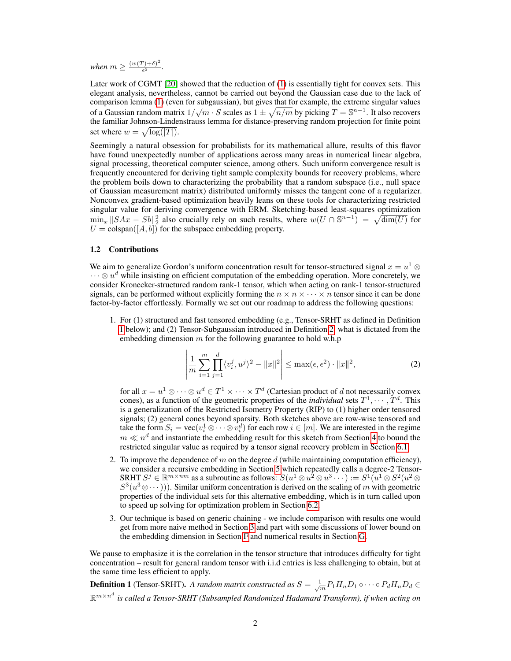when  $m \geq \frac{(w(T)+\delta)^2}{\epsilon^2}$  $\frac{(-)+\delta)^{-}}{\epsilon^2}$ .

Later work of CGMT [\[20\]](#page-10-0) showed that the reduction of [\(1\)](#page-0-0) is essentially tight for convex sets. This elegant analysis, nevertheless, cannot be carried out beyond the Gaussian case due to the lack of comparison lemma [\(1\)](#page-0-0) (even for subgaussian), but gives that for example, the extreme singular values comparison remina (1) (even for subgaussian), but gives that for example, the extreme singular values of a Gaussian random matrix  $1/\sqrt{m} \cdot S$  scales as  $1 \pm \sqrt{n/m}$  by picking  $T = \mathbb{S}^{n-1}$ . It also recovers the familiar Johnson-Lindenstrauss lemma for distance-preserving random projection for finite point set where  $w = \sqrt{\log(|T|)}$ .

Seemingly a natural obsession for probabilists for its mathematical allure, results of this flavor have found unexpectedly number of applications across many areas in numerical linear algebra, signal processing, theoretical computer science, among others. Such uniform convergence result is frequently encountered for deriving tight sample complexity bounds for recovery problems, where the problem boils down to characterizing the probability that a random subspace (i.e., null space of Gaussian measurement matrix) distributed uniformly misses the tangent cone of a regularizer. Nonconvex gradient-based optimization heavily leans on these tools for characterizing restricted singular value for deriving convergence with ERM. Sketching-based least-squares optimization  $\min_x \|S Ax - Sb\|_2^2$  also crucially rely on such results, where  $w(U \cap \mathbb{S}^{n-1}) = \sqrt{\dim(U)}$  for  $U = \text{colspan}([A, b])$  for the subspace embedding property.

#### 1.2 Contributions

We aim to generalize Gordon's uniform concentration result for tensor-structured signal  $x = u^1 \otimes$  $\cdots \otimes u^d$  while insisting on efficient computation of the embedding operation. More concretely, we consider Kronecker-structured random rank-1 tensor, which when acting on rank-1 tensor-structured signals, can be performed without explicitly forming the  $n \times n \times \cdots \times n$  tensor since it can be done factor-by-factor effortlessly. Formally we set out our roadmap to address the following questions:

1. For (1) structured and fast tensored embedding (e.g., Tensor-SRHT as defined in Definition [1](#page-1-0) below); and (2) Tensor-Subgaussian introduced in Definition [2,](#page-2-0) what is dictated from the embedding dimension  $m$  for the following guarantee to hold w.h.p

<span id="page-1-1"></span>
$$
\left| \frac{1}{m} \sum_{i=1}^{m} \prod_{j=1}^{d} \langle v_i^j, u^j \rangle^2 - \|x\|^2 \right| \le \max(\epsilon, \epsilon^2) \cdot \|x\|^2,
$$
\n(2)

for all  $x = u^1 \otimes \cdots \otimes u^d \in T^1 \times \cdots \times T^d$  (Cartesian product of  $d$  not necessarily convex cones), as a function of the geometric properties of the *individual* sets  $T^1, \dots, T^d$ . This is a generalization of the Restricted Isometry Property (RIP) to (1) higher order tensored signals; (2) general cones beyond sparsity. Both sketches above are row-wise tensored and take the form  $S_i = \text{vec}(v_i^1 \otimes \cdots \otimes v_i^d)$  for each row  $i \in [m]$ . We are interested in the regime  $m \ll n^d$  and instantiate the embedding result for this sketch from Section [4](#page-3-0) to bound the restricted singular value as required by a tensor signal recovery problem in Section [6.1.](#page-7-0)

- 2. To improve the dependence of m on the degree d (while maintaining computation efficiency), we consider a recursive embedding in Section [5](#page-6-0) which repeatedly calls a degree-2 Tensor-SRHT  $S^j \in \mathbb{R}^{m \times nm}$  as a subroutine as follows:  $S(u^1 \otimes u^2 \otimes u^3 \cdots) := S^1(u^1 \otimes S^2(u^2 \otimes$  $S^3(u^3 \otimes \cdots))$ ). Similar uniform concentration is derived on the scaling of m with geometric properties of the individual sets for this alternative embedding, which is in turn called upon to speed up solving for optimization problem in Section [6.2.](#page-8-0)
- 3. Our technique is based on generic chaining we include comparison with results one would get from more naive method in Section [3](#page-2-1) and part with some discussions of lower bound on the embedding dimension in Section [F](#page-20-0) and numerical results in Section [G.](#page-21-0)

We pause to emphasize it is the correlation in the tensor structure that introduces difficulty for tight concentration – result for general random tensor with i.i.d entries is less challenging to obtain, but at the same time less efficient to apply.

<span id="page-1-0"></span>**Definition 1** (Tensor-SRHT). *A random matrix constructed as*  $S = \frac{1}{\sqrt{m}}P_1H_nD_1\circ\cdots\circ P_dH_nD_d\in$ R m×n d *is called a Tensor-SRHT (Subsampled Randomized Hadamard Transform), if when acting on*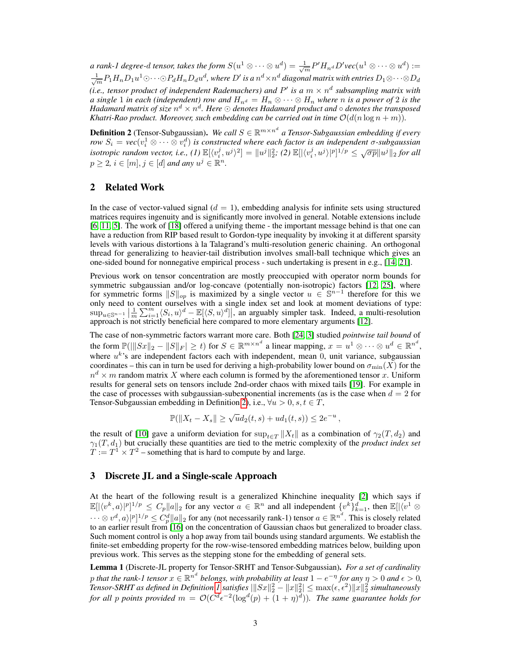*a rank-1 degree-d tensor, takes the form*  $S(u^1\otimes \cdots \otimes u^d)=\frac{1}{\sqrt{m}}P'H_{n^d}D'$ *vec* $(u^1\otimes \cdots \otimes u^d):=$  $\frac{1}{\sqrt{m}}P_1H_nD_1u^1\odot\cdots\odot P_dH_nD_du^d,$  where  $D'$  is a  $n^d\times n^d$  diagonal matrix with entries  $D_1\otimes\cdots\otimes D_d$ (i.e., tensor product of independent Rademachers) and  $P'$  is a  $m \times n^d$  subsampling matrix with *a* single 1 in each (independent) row and  $H_{n^d} = H_n \otimes \cdots \otimes H_n$  where n is a power of 2 is the Hadamard matrix of size  $n^d \times n^d$  . Here  $\odot$  denotes Hadamard product and  $\circ$  denotes the transposed *Khatri-Rao product. Moreover, such embedding can be carried out in time*  $O(d(n \log n + m))$ *.* 

<span id="page-2-0"></span>**Definition 2** (Tensor-Subgaussian). *We call*  $S \in \mathbb{R}^{m \times n^d}$  a Tensor-Subgaussian embedding if every *row*  $S_i = vec(v_i^1 \otimes \cdots \otimes v_i^d)$  is constructed where each factor is an independent  $\sigma$ -subgaussian  $\int$ *isotropic random vector, i.e., (1)*  $\mathbb{E}[(v_i^j, u^j)^2] = ||u^j||_2^2$ ; (2)  $\mathbb{E}[(v_i^j, u^j)^{|p|}]^{1/p} \le \sqrt{\sigma p}||u^j||_2$  *for all*  $p \geq 2, i \in [m], j \in [d]$  and any  $u^j \in \mathbb{R}^n$ .

## 2 Related Work

In the case of vector-valued signal  $(d = 1)$ , embedding analysis for infinite sets using structured matrices requires ingenuity and is significantly more involved in general. Notable extensions include [\[6,](#page-9-1) [11,](#page-9-2) [5\]](#page-9-3). The work of [\[18\]](#page-9-4) offered a unifying theme - the important message behind is that one can have a reduction from RIP based result to Gordon-type inequality by invoking it at different sparsity levels with various distortions à la Talagrand's multi-resolution generic chaining. An orthogonal thread for generalizing to heavier-tail distribution involves small-ball technique which gives an one-sided bound for nonnegative empirical process - such undertaking is present in e.g., [\[14,](#page-9-5) [21\]](#page-10-1).

Previous work on tensor concentration are mostly preoccupied with operator norm bounds for symmetric subgaussian and/or log-concave (potentially non-isotropic) factors [\[12,](#page-9-6) [25\]](#page-10-2), where for symmetric forms  $||S||_{op}$  is maximized by a single vector  $u \in \mathbb{S}^{n-1}$  therefore for this we only need to content ourselves with a single index set and look at moment deviations of type:  $\sup_{u \in \mathbb{S}^{n-1}} \left| \frac{1}{m} \sum_{i=1}^m \langle S_i, u \rangle^d - \mathbb{E}[\langle S, u \rangle^d] \right|$ , an arguably simpler task. Indeed, a multi-resolution approach is not strictly beneficial here compared to more elementary arguments [\[12\]](#page-9-6).

The case of non-symmetric factors warrant more care. Both [\[24,](#page-10-3) [3\]](#page-9-7) studied *pointwise tail bound* of the form  $\mathbb{P}(|||Sx||_2 - ||S||_F| \ge t)$  for  $S \in \mathbb{R}^{m \times n^d}$  a linear mapping,  $x = u^1 \otimes \cdots \otimes u^d \in \mathbb{R}^{n^d}$ , where  $u^k$ 's are independent factors each with independent, mean 0, unit variance, subgaussian coordinates – this can in turn be used for deriving a high-probability lower bound on  $\sigma_{\min}(X)$  for the  $n^d \times m$  random matrix X where each column is formed by the aforementioned tensor x. Uniform results for general sets on tensors include 2nd-order chaos with mixed tails [\[19\]](#page-10-4). For example in the case of processes with subgaussian-subexponential increments (as is the case when  $d = 2$  for Tensor-Subgaussian embedding in Definition [2\)](#page-2-0), i.e.,  $\forall u > 0$ ,  $s, t \in T$ ,

$$
\mathbb{P}(\|X_t - X_s\| \ge \sqrt{u}d_2(t, s) + ud_1(t, s)) \le 2e^{-u},
$$

the result of [\[10\]](#page-9-8) gave a uniform deviation for  $\sup_{t\in T} ||X_t||$  as a combination of  $\gamma_2(T, d_2)$  and  $\gamma_1(T, d_1)$  but crucially these quantities are tied to the metric complexity of the *product index set*  $T := T^1 \times T^2$  – something that is hard to compute by and large.

## <span id="page-2-1"></span>3 Discrete JL and a Single-scale Approach

At the heart of the following result is a generalized Khinchine inequality [\[2\]](#page-9-9) which says if  $\mathbb{E}[|\langle v^k, a \rangle|^p]^{1/p} \leq C_p \|a\|_2$  for any vector  $a \in \mathbb{R}^n$  and all independent  $\{v^k\}_{k=1}^d$ , then  $\mathbb{E}[|\langle v^1 \otimes$  $\cdots \otimes v^d, a \rangle |^p]^{1/p} \leq C_p^d \|a\|_2$  for any (not necessarily rank-1) tensor  $a \in \mathbb{R}^{n^d}$ . This is closely related to an earlier result from [\[16\]](#page-9-10) on the concentration of Gaussian chaos but generalized to broader class. Such moment control is only a hop away from tail bounds using standard arguments. We establish the finite-set embedding property for the row-wise-tensored embedding matrices below, building upon previous work. This serves as the stepping stone for the embedding of general sets.

<span id="page-2-2"></span>Lemma 1 (Discrete-JL property for Tensor-SRHT and Tensor-Subgaussian). *For a set of cardinality* p that the rank-1 tensor  $x \in \mathbb{R}^{n^d}$  belongs, with probability at least  $1 - e^{-\eta}$  for any  $\eta > 0$  and  $\epsilon > 0$ ,  $Tensor\text{-}SRHT$  as defined in Definition  $I$  satisfies  $\|\|Sx\|_2^2 - \|x\|_2^2| \leq \max(\epsilon,\epsilon^2) \|x\|_2^2$  simultaneously for all p points provided  $m = \mathcal{O}(C^d \epsilon^{-2} (\log^d(p) + (1 + \eta)^d))$ . The same guarantee holds for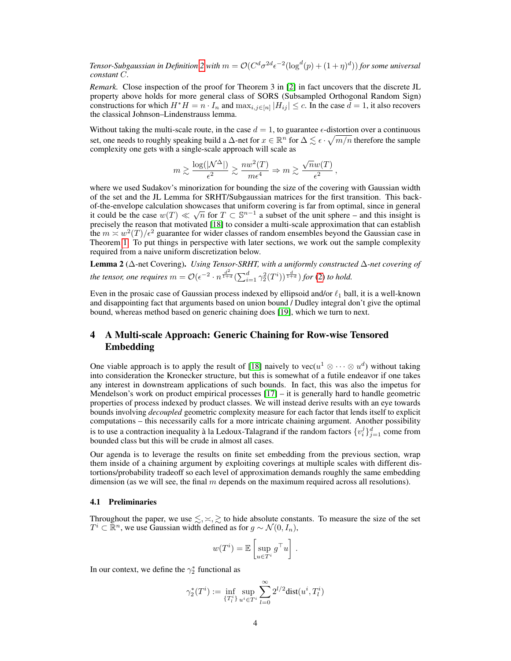Tensor-Subgaussian in Definition [2](#page-2-0) with  $m = \mathcal{O}(C^d\sigma^{2d}\epsilon^{-2}(\log^d(p) + (1+\eta)^d))$  for some universal *constant* C*.*

*Remark.* Close inspection of the proof for Theorem 3 in [\[2\]](#page-9-9) in fact uncovers that the discrete JL property above holds for more general class of SORS (Subsampled Orthogonal Random Sign) constructions for which  $H^*H = n \cdot I_n$  and  $\max_{i,j \in [n]} |H_{ij}| \le c$ . In the case  $\bar{d} = 1$ , it also recovers the classical Johnson–Lindenstrauss lemma.

Without taking the multi-scale route, in the case  $d = 1$ , to guarantee  $\epsilon$ -distortion over a continuous set, one needs to roughly speaking build a  $\Delta$ -net for  $x \in \mathbb{R}^n$  for  $\Delta \lesssim \epsilon \cdot \sqrt{m/n}$  therefore the sample complexity one gets with a single-scale approach will scale as

$$
m \gtrsim \frac{\log(|\mathcal{N}^{\Delta}|)}{\epsilon^2} \gtrsim \frac{nw^2(T)}{m\epsilon^4} \Rightarrow m \gtrsim \frac{\sqrt{n}w(T)}{\epsilon^2},
$$

where we used Sudakov's minorization for bounding the size of the covering with Gaussian width of the set and the JL Lemma for SRHT/Subgaussian matrices for the first transition. This backof-the-envelope calculation showcases that uniform covering is far from optimal, since in general it could be the case  $w(T) \ll \sqrt{n}$  for  $T \subset \mathbb{S}^{n-1}$  a subset of the unit sphere – and this insight is precisely the reason that motivated [\[18\]](#page-9-4) to consider a multi-scale approximation that can establish the  $m \asymp w^2(T)/\epsilon^2$  guarantee for wider classes of random ensembles beyond the Gaussian case in Theorem [1.](#page-0-1) To put things in perspective with later sections, we work out the sample complexity required from a naive uniform discretization below.

<span id="page-3-1"></span>Lemma 2 (∆-net Covering). *Using Tensor-SRHT, with a uniformly constructed* ∆*-net covering of the tensor, one requires*  $m = \mathcal{O}(\epsilon^{-2} \cdot n^{\frac{d^2}{1+d}} (\sum_{i=1}^d \gamma_2^2(T^i))^{\frac{d}{1+d}})$  *for* [\(2\)](#page-1-1) *to hold.* 

Even in the prosaic case of Gaussian process indexed by ellipsoid and/or  $\ell_1$  ball, it is a well-known and disappointing fact that arguments based on union bound / Dudley integral don't give the optimal bound, whereas method based on generic chaining does [\[19\]](#page-10-4), which we turn to next.

# <span id="page-3-0"></span>4 A Multi-scale Approach: Generic Chaining for Row-wise Tensored Embedding

One viable approach is to apply the result of [\[18\]](#page-9-4) naively to  $\text{vec}(u^1 \otimes \cdots \otimes u^d)$  without taking into consideration the Kronecker structure, but this is somewhat of a futile endeavor if one takes any interest in downstream applications of such bounds. In fact, this was also the impetus for Mendelson's work on product empirical processes  $[17]$  – it is generally hard to handle geometric properties of process indexed by product classes. We will instead derive results with an eye towards bounds involving *decoupled* geometric complexity measure for each factor that lends itself to explicit computations – this necessarily calls for a more intricate chaining argument. Another possibility is to use a contraction inequality à la Ledoux-Talagrand if the random factors  $\{v_i^j\}_{j=1}^d$  come from bounded class but this will be crude in almost all cases.

Our agenda is to leverage the results on finite set embedding from the previous section, wrap them inside of a chaining argument by exploiting coverings at multiple scales with different distortions/probability tradeoff so each level of approximation demands roughly the same embedding dimension (as we will see, the final  $m$  depends on the maximum required across all resolutions).

#### 4.1 Preliminaries

Throughout the paper, we use  $\leq, \leq, \geq, \geq$  to hide absolute constants. To measure the size of the set  $T^i \subset \mathbb{R}^n$ , we use Gaussian width defined as for  $g \sim \mathcal{N}(0, I_n)$ ,

$$
w(T^{i}) = \mathbb{E}\left[\sup_{u \in T^{i}} g^{\top} u\right].
$$

In our context, we define the  $\gamma_2^*$  functional as

$$
\gamma_2^*(T^i):=\inf_{\{T^i_l\}}\sup_{u^i\in T^i}\sum_{l=0}^\infty 2^{l/2}{\rm dist}(u^i,T^i_l)
$$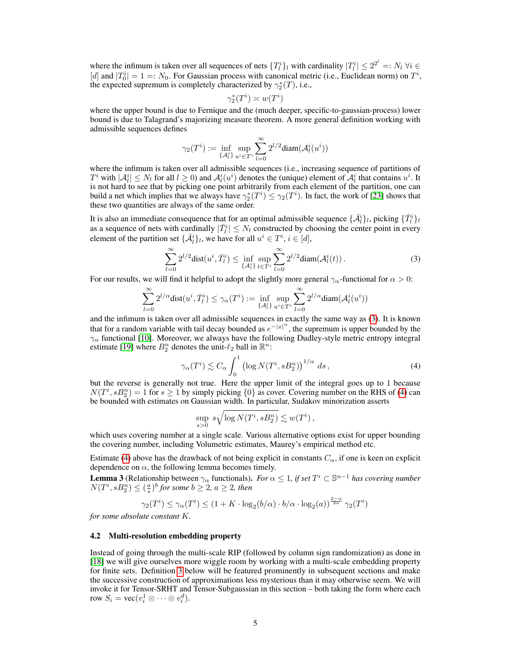where the infimum is taken over all sequences of nets  $\{T_l^i\}_l$  with cardinality  $|T_l^i| \leq 2^{2^l} =: N_l \ \forall i \in$ [d] and  $|T_0^i| = 1 =: N_0$ . For Gaussian process with canonical metric (i.e., Euclidean norm) on  $T^i$ , the expected supremum is completely characterized by  $\gamma_2^*(T)$ , i.e.,

$$
\gamma_2^*(T^i) \asymp w(T^i)
$$

where the upper bound is due to Fernique and the (much deeper, specific-to-gaussian-process) lower bound is due to Talagrand's majorizing measure theorem. A more general definition working with admissible sequences defines

$$
\gamma_2(T^i):=\inf_{\{\mathcal{A}_l^i\}}\sup_{u^i\in T^i}\sum_{l=0}^\infty 2^{l/2}\mathrm{diam}(\mathcal{A}_l^i(u^i))
$$

where the infimum is taken over all admissible sequences (i.e., increasing sequence of partitions of  $T^i$  with  $|A_l^i| \le N_l$  for all  $l \ge 0$ ) and  $A_l^i(u^i)$  denotes the (unique) element of  $A_l^i$  that contains  $u^i$ . It is not hard to see that by picking one point arbitrarily from each element of the partition, one can build a net which implies that we always have  $\gamma_2^*(T^i) \leq \gamma_2(T^i)$ . In fact, the work of [\[23\]](#page-10-5) shows that these two quantities are always of the same order.

It is also an immediate consequence that for an optimal admissible sequence  $\{\bar{\mathcal{A}}_l^i\}_l$ , picking  $\{\bar{T}_l^i\}_l$ as a sequence of nets with cardinally  $|\bar{T}_l^i| \leq N_l$  constructed by choosing the center point in every element of the partition set  $\{\overline{\mathcal{A}}_l^i\}_l$ , we have for all  $u^i \in T^i$ ,  $i \in [d]$ ,

<span id="page-4-0"></span>
$$
\sum_{l=0}^{\infty} 2^{l/2} \text{dist}(u^i, \bar{T}_l^i) \le \inf_{\{\mathcal{A}_l^i\}} \sup_{t \in T^i} \sum_{l=0}^{\infty} 2^{l/2} \text{diam}(\mathcal{A}_l^i(t)).
$$
\n(3)

For our results, we will find it helpful to adopt the slightly more general  $\gamma_\alpha$ -functional for  $\alpha > 0$ :

$$
\sum_{l=0}^{\infty} 2^{l/\alpha} \textup{dist}(u^i,\bar{T}_l^i) \leq \gamma_{\alpha}(T^i) := \inf_{\{\mathcal{A}_l^i\}} \sup_{u^i \in T^i} \sum_{l=0}^{\infty} 2^{l/\alpha} \textup{diam}(\mathcal{A}_l^i(u^i))
$$

and the infimum is taken over all admissible sequences in exactly the same way as [\(3\)](#page-4-0). It is known that for a random variable with tail decay bounded as  $e^{-|x|^\alpha}$ , the supremum is upper bounded by the  $\gamma_{\alpha}$  functional [\[10\]](#page-9-8). Moreover, we always have the following Dudley-style metric entropy integral estimate [\[19\]](#page-10-4) where  $B_2^n$  denotes the unit- $\ell_2$  ball in  $\mathbb{R}^n$ :

<span id="page-4-1"></span>
$$
\gamma_{\alpha}(T^i) \lesssim C_{\alpha} \int_0^1 \left(\log N(T^i, s B_2^n)\right)^{1/\alpha} ds ,\qquad (4)
$$

but the reverse is generally not true. Here the upper limit of the integral goes up to 1 because  $N(T^i, sB_2^n) = 1$  for  $s \ge 1$  by simply picking  $\{0\}$  as cover. Covering number on the RHS of [\(4\)](#page-4-1) can be bounded with estimates on Gaussian width. In particular, Sudakov minorization asserts

$$
\sup_{s>0} s\sqrt{\log N(T^i,sB_2^n)} \lesssim w(T^i)\,,
$$

which uses covering number at a single scale. Various alternative options exist for upper bounding the covering number, including Volumetric estimates, Maurey's empirical method etc.

Estimate [\(4\)](#page-4-1) above has the drawback of not being explicit in constants  $C_{\alpha}$ , if one is keen on explicit dependence on  $\alpha$ , the following lemma becomes timely.

<span id="page-4-3"></span>**Lemma 3** (Relationship between  $\gamma_{\alpha}$  functionals). *For*  $\alpha \leq 1$ , if set  $T^i \subset \mathbb{S}^{n-1}$  *has covering number*  $N(T^i, sB_2^n) \leq (\frac{a}{s})^b$  for some  $b \geq 2$ ,  $a \geq 2$ , then

$$
\gamma_2(T^i) \le \gamma_\alpha(T^i) \le (1 + K \cdot \log_2(b/\alpha) \cdot b/\alpha \cdot \log_2(a))^{\frac{2-\alpha}{2\alpha}} \gamma_2(T^i)
$$

*for some absolute constant* K*.*

#### 4.2 Multi-resolution embedding property

<span id="page-4-2"></span>Instead of going through the multi-scale RIP (followed by column sign randomization) as done in [\[18\]](#page-9-4) we will give ourselves more wiggle room by working with a multi-scale embedding property for finite sets. Definition [3](#page-4-2) below will be featured prominently in subsequent sections and make the successive construction of approximations less mysterious than it may otherwise seem. We will invoke it for Tensor-SRHT and Tensor-Subgaussian in this section – both taking the form where each row  $S_i = \text{vec}(v_i^1 \otimes \cdots \otimes v_i^d)$ .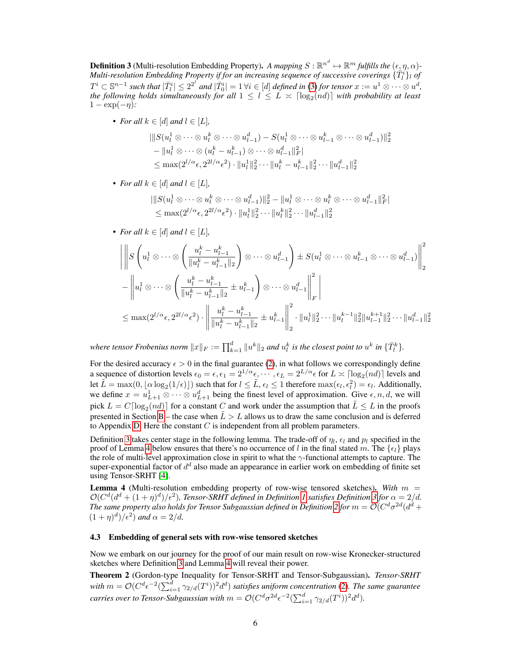**Definition 3** (Multi-resolution Embedding Property). A mapping  $S : \mathbb{R}^{n^d} \mapsto \mathbb{R}^m$  fulfills the  $(\epsilon, \eta, \alpha)$ -Multi-resolution Embedding Property if for an increasing sequence of successive coverings  $\{\hat T_l^i\}_l$  of  $T^i\subset\mathbb{S}^{n-1}$  such that  $|\bar{T}_l^i|\leq 2^{2^l}$  and  $|\bar{T}_0^i|=1$   $\forall i\in [d]$  defined in [\(3\)](#page-4-0) for tensor  $x:=u^1\otimes\cdots\otimes u^d$ , the following holds simultaneously for all  $1 \leq l \leq L \asymp \lceil \log_2(nd) \rceil$  with probability at least  $1 - \exp(-\eta)$ *:* 

• *For all*  $k \in [d]$  *and*  $l \in [L]$ *,* 

$$
|||S(u_l^1 \otimes \cdots \otimes u_l^k \otimes \cdots \otimes u_{l-1}^d) - S(u_l^1 \otimes \cdots \otimes u_{l-1}^k \otimes \cdots \otimes u_{l-1}^d)||_2^2
$$
  

$$
- ||u_l^1 \otimes \cdots \otimes (u_l^k - u_{l-1}^k) \otimes \cdots \otimes u_{l-1}^d||_F^2|
$$
  

$$
\leq \max(2^{l/\alpha}\epsilon, 2^{2l/\alpha}\epsilon^2) \cdot ||u_l^1||_2^2 \cdots ||u_l^k - u_{l-1}^k||_2^2 \cdots ||u_{l-1}^d||_2^2
$$

• *For all*  $k \in [d]$  *and*  $l \in [L]$ *,* 

$$
|\|S(u_l^1 \otimes \cdots \otimes u_l^k \otimes \cdots \otimes u_{l-1}^d)|\|_2^2 - \|u_l^1 \otimes \cdots \otimes u_l^k \otimes \cdots \otimes u_{l-1}^d\|_F^2|
$$
  

$$
\leq \max(2^{l/\alpha}\epsilon, 2^{2l/\alpha}\epsilon^2) \cdot \|u_l^1\|_2^2 \cdots \|u_l^k\|_2^2 \cdots \|u_{l-1}^d\|_2^2
$$

• *For all*  $k \in [d]$  *and*  $l \in [L]$ *,* 

$$
\left| \left\| S \left( u_l^1 \otimes \cdots \otimes \left( \frac{u_l^k - u_{l-1}^k}{\|u_l^k - u_{l-1}^k\|_2} \right) \otimes \cdots \otimes u_{l-1}^d \right) \right\} \pm S(u_l^1 \otimes \cdots \otimes u_{l-1}^k) \right\|_2^2
$$
  
- 
$$
\left\| u_l^1 \otimes \cdots \otimes \left( \frac{u_l^k - u_{l-1}^k}{\|u_l^k - u_{l-1}^k\|_2} \pm u_{l-1}^k \right) \otimes \cdots \otimes u_{l-1}^d \right\|_F^2
$$
  

$$
\leq \max(2^{l/\alpha} \epsilon, 2^{2l/\alpha} \epsilon^2) \cdot \left\| \frac{u_l^k - u_{l-1}^k}{\|u_l^k - u_{l-1}^k\|_2} \pm u_{l-1}^k \right\|_2^2 \cdot \left\| u_l^1 \right\|_2^2 \cdots \left\| u_l^{k-1} \right\|_2^2 \| u_{l-1}^{k+1} \|_2^2 \cdots \| u_{l-1}^d \|_2^2
$$

where tensor Frobenius norm  $\|x\|_F := \prod_{k=1}^d \|u^k\|_2$  and  $u^k_l$  is the closest point to  $u^k$  in  $\{\bar{T}^k_l\}.$ 

For the desired accuracy  $\epsilon > 0$  in the final guarantee [\(2\)](#page-1-1), in what follows we correspondingly define a sequence of distortion levels  $\epsilon_0 = \epsilon, \epsilon_1 = 2^{1/\alpha}\epsilon, \cdots, \epsilon_L = 2^{L/\alpha}\epsilon$  for  $L \asymp \lceil \log_2(nd) \rceil$  levels and let  $\tilde{L} = \max(0, \lfloor \alpha \log_2(1/\epsilon) \rfloor)$  such that for  $l \leq \tilde{L}$ ,  $\epsilon_l \leq 1$  therefore  $\max(\epsilon_l, \epsilon_l^2) = \epsilon_l$ . Additionally, we define  $x = u_{L+1}^1 \otimes \cdots \otimes u_{L+1}^d$  being the finest level of approximation. Give  $\epsilon, n, d$ , we will pick  $L = C \lceil \log_2(nd) \rceil$  for a constant C and work under the assumption that  $\tilde{L} \leq L$  in the proofs presented in Section [B](#page-12-0) – the case when  $L > L$  allows us to draw the same conclusion and is deferred to Appendix [D.](#page-19-0) Here the constant  $C$  is independent from all problem parameters.

Definition [3](#page-4-2) takes center stage in the following lemma. The trade-off of  $\eta_l$ ,  $\epsilon_l$  and  $p_l$  specified in the proof of Lemma [4](#page-5-0) below ensures that there's no occurrence of l in the final stated m. The  $\{\epsilon_l\}$  plays the role of multi-level approximation close in spirit to what the  $\gamma$ -functional attempts to capture. The super-exponential factor of  $d^d$  also made an appearance in earlier work on embedding of finite set using Tensor-SRHT [\[4\]](#page-9-12).

<span id="page-5-0"></span>**Lemma 4** (Multi-resolution embedding property of row-wise tensored sketches). With  $m =$  $\mathcal{O}(C^d(d^d + (1 + \eta)^d)/\epsilon^2)$ , Tensor-SRHT defined in Definition [1](#page-1-0) satisfies Definition [3](#page-4-2) for  $\alpha = 2/d$ . The same property also holds for Tensor Subgaussian defined in Definition [2](#page-2-0) for  $m = \mathcal{O}(C^d\sigma^{2d}(d^d+1))$  $(1 + \eta)^d / \epsilon^2$  *and*  $\alpha = 2/d$ *.* 

## 4.3 Embedding of general sets with row-wise tensored sketches

Now we embark on our journey for the proof of our main result on row-wise Kronecker-structured sketches where Definition [3](#page-4-2) and Lemma [4](#page-5-0) will reveal their power.

<span id="page-5-1"></span>Theorem 2 (Gordon-type Inequality for Tensor-SRHT and Tensor-Subgaussian). *Tensor-SRHT* with  $m = \mathcal{O}(C^d \epsilon^{-2} (\sum_{i=1}^d \gamma_{2/d}(T^i))^2 d^d)$  satisfies uniform concentration [\(2\)](#page-1-1). The same guarantee *carries over to Tensor-Subgaussian with*  $m = \mathcal{O}(C^d \sigma^{2d} \epsilon^{-2} (\sum_{i=1}^d \gamma_{2/d}(T^i))^2 d^d)$ *.*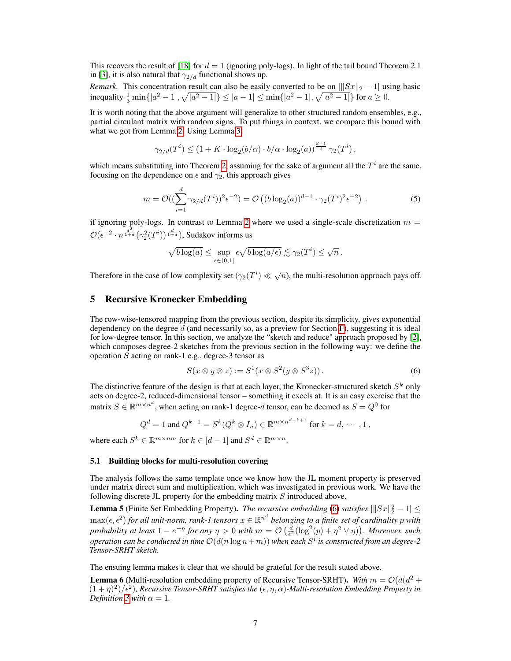This recovers the result of [\[18\]](#page-9-4) for  $d = 1$  (ignoring poly-logs). In light of the tail bound Theorem 2.1 in [\[3\]](#page-9-7), it is also natural that  $\gamma_{2/d}$  functional shows up.

*Remark.* This concentration result can also be easily converted to be on  $\frac{||Sx||_2 - 1}{||Sx||_2 - 1}$  using basic inequality  $\frac{1}{3} \min\{|a^2 - 1|, \sqrt{|a^2 - 1|}\} \le |a - 1| \le \min\{|a^2 - 1|, \sqrt{|a^2 - 1|}\}$  for  $a \ge 0$ .

It is worth noting that the above argument will generalize to other structured random ensembles, e.g., partial circulant matrix with random signs. To put things in context, we compare this bound with what we got from Lemma [2.](#page-3-1) Using Lemma [3,](#page-4-3)

$$
\gamma_{2/d}(T^i) \le (1 + K \cdot \log_2(b/\alpha) \cdot b/\alpha \cdot \log_2(a))^{\frac{a-1}{2}} \gamma_2(T^i),
$$

which means substituting into Theorem [2,](#page-5-1) assuming for the sake of argument all the  $T<sup>i</sup>$  are the same, focusing on the dependence on  $\epsilon$  and  $\gamma_2$ , this approach gives

$$
m = \mathcal{O}\left((\sum_{i=1}^{d} \gamma_{2/d}(T^{i}))^{2} \epsilon^{-2}\right) = \mathcal{O}\left((b \log_{2}(a))^{d-1} \cdot \gamma_{2}(T^{i})^{2} \epsilon^{-2}\right).
$$
 (5)

<span id="page-6-2"></span>d−1

if ignoring poly-logs. In contrast to Lemma [2](#page-3-1) where we used a single-scale discretization  $m =$  $\mathcal{O}(\epsilon^{-2}\cdot n^{\frac{d^2}{1+d}}(\gamma_2^2(T^i))^{\frac{d}{1+d}})$ , Sudakov informs us

$$
\sqrt{b\log(a)} \leq \sup_{\epsilon \in (0,1]} \epsilon \sqrt{b\log(a/\epsilon)} \lesssim \gamma_2(T^i) \leq \sqrt{n}.
$$

Therefore in the case of low complexity set  $(\gamma_2(T^i) \ll \sqrt{n})$ , the multi-resolution approach pays off.

## <span id="page-6-0"></span>5 Recursive Kronecker Embedding

The row-wise-tensored mapping from the previous section, despite its simplicity, gives exponential dependency on the degree  $d$  (and necessarily so, as a preview for Section [F\)](#page-20-0), suggesting it is ideal for low-degree tensor. In this section, we analyze the "sketch and reduce" approach proposed by [\[2\]](#page-9-9), which composes degree-2 sketches from the previous section in the following way: we define the operation S acting on rank-1 e.g., degree-3 tensor as

<span id="page-6-1"></span>
$$
S(x \otimes y \otimes z) := S^1(x \otimes S^2(y \otimes S^3 z)). \tag{6}
$$

The distinctive feature of the design is that at each layer, the Kronecker-structured sketch  $S^k$  only acts on degree-2, reduced-dimensional tensor – something it excels at. It is an easy exercise that the matrix  $S \in \mathbb{R}^{m \times n^d}$ , when acting on rank-1 degree-d tensor, can be deemed as  $S = Q^0$  for

$$
Q^d = 1 \text{ and } Q^{k-1} = S^k(Q^k \otimes I_n) \in \mathbb{R}^{m \times n^{d-k+1}} \text{ for } k = d, \cdots, 1,
$$

where each  $S^k \in \mathbb{R}^{m \times nm}$  for  $k \in [d-1]$  and  $S^d \in \mathbb{R}^{m \times n}$ .

#### 5.1 Building blocks for multi-resolution covering

The analysis follows the same template once we know how the JL moment property is preserved under matrix direct sum and multiplication, which was investigated in previous work. We have the following discrete JL property for the embedding matrix  $S$  introduced above.

<span id="page-6-3"></span>**Lemma 5** (Finite Set Embedding Property). *The recursive embedding* [\(6\)](#page-6-1) *satisfies*  $\|\|Sx\|_2^2 - 1 \leq$  $\max(\epsilon, \epsilon^2)$  for all unit-norm, rank-1 tensors  $x \in \mathbb{R}^{n^d}$  belonging to a finite set of cardinality  $p$  with *probability at least*  $1 - e^{-\eta}$  *for any*  $\eta > 0$  *with*  $m = \mathcal{O}\left(\frac{d}{\epsilon^2}(\log^2(p) + \eta^2 \vee \eta)\right)$ *. Moreover, such*  $o$ peration can be conducted in time  $\mathcal{O}(d(n\log n+m))$  when each  $S^i$  is constructed from an degree-2 *Tensor-SRHT sketch.*

The ensuing lemma makes it clear that we should be grateful for the result stated above.

<span id="page-6-4"></span>**Lemma 6** (Multi-resolution embedding property of Recursive Tensor-SRHT). With  $m = \mathcal{O}(d(d^2 +$  $(1 + \eta)^2)/\epsilon^2$ ), Recursive Tensor-SRHT satisfies the  $(\epsilon, \eta, \alpha)$ -Multi-resolution Embedding Property in *Definition* [3](#page-4-2) *with*  $\alpha = 1$ *.*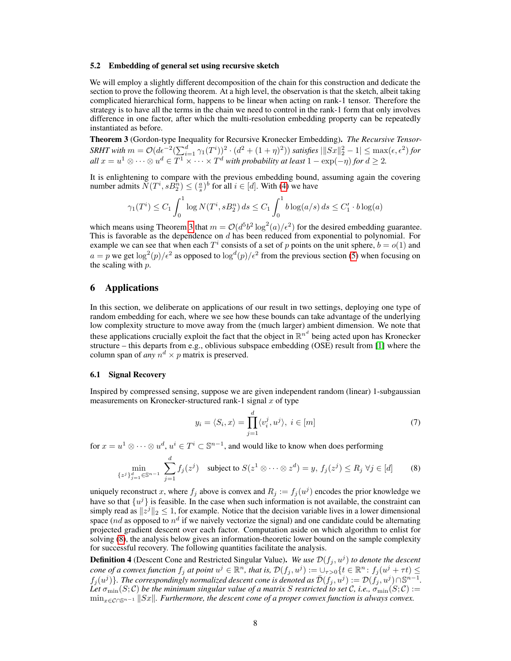#### 5.2 Embedding of general set using recursive sketch

We will employ a slightly different decomposition of the chain for this construction and dedicate the section to prove the following theorem. At a high level, the observation is that the sketch, albeit taking complicated hierarchical form, happens to be linear when acting on rank-1 tensor. Therefore the strategy is to have all the terms in the chain we need to control in the rank-1 form that only involves difference in one factor, after which the multi-resolution embedding property can be repeatedly instantiated as before.

<span id="page-7-1"></span>Theorem 3 (Gordon-type Inequality for Recursive Kronecker Embedding). *The Recursive Tensor-SRHT with*  $m = \mathcal{O}(d\epsilon^{-2}(\sum_{i=1}^d \gamma_1(T^i))^2 \cdot (d^2 + (1 + \eta)^2))$  *satisfies*  $\|\|Sx\|_2^2 - 1| \le \max(\epsilon, \epsilon^2)$  for *all*  $x = u^1 \otimes \cdots \otimes u^d \in T^1 \times \cdots \times T^d$  *with probability at least*  $1 - \exp(-\eta)$  *for*  $d \geq 2$ *.* 

It is enlightening to compare with the previous embedding bound, assuming again the covering number admits  $\tilde{N}(T^i, sB_2^{\tilde{n}}) \leq (\frac{a}{s})^b$  for all  $i \in [d]$ . With [\(4\)](#page-4-1) we have

$$
\gamma_1(T^i) \le C_1 \int_0^1 \log N(T^i, s B_2^n) \, ds \le C_1 \int_0^1 b \log(a/s) \, ds \le C_1' \cdot b \log(a)
$$

which means using Theorem [3](#page-7-1) that  $m = \mathcal{O}(d^5b^2 \log^2(a)/\epsilon^2)$  for the desired embedding guarantee. This is favorable as the dependence on  $d$  has been reduced from exponential to polynomial. For example we can see that when each  $T^i$  consists of a set of p points on the unit sphere,  $b = o(1)$  and  $a = p$  we get  $\log^2(p)/\epsilon^2$  as opposed to  $\log^d(p)/\epsilon^2$  from the previous section [\(5\)](#page-6-2) when focusing on the scaling with  $p$ .

## <span id="page-7-4"></span>6 Applications

In this section, we deliberate on applications of our result in two settings, deploying one type of random embedding for each, where we see how these bounds can take advantage of the underlying low complexity structure to move away from the (much larger) ambient dimension. We note that these applications crucially exploit the fact that the object in  $\mathbb{R}^{n^d}$  being acted upon has Kronecker structure – this departs from e.g., oblivious subspace embedding (OSE) result from [\[1\]](#page-9-13) where the column span of *any*  $n^d \times p$  matrix is preserved.

## <span id="page-7-0"></span>6.1 Signal Recovery

Inspired by compressed sensing, suppose we are given independent random (linear) 1-subgaussian measurements on Kronecker-structured rank-1 signal  $x$  of type

<span id="page-7-3"></span><span id="page-7-2"></span>
$$
y_i = \langle S_i, x \rangle = \prod_{j=1}^d \langle v_i^j, u^j \rangle, \ i \in [m]
$$
 (7)

for  $x = u^1 \otimes \cdots \otimes u^d$ ,  $u^i \in T^i \subset \mathbb{S}^{n-1}$ , and would like to know when does performing

$$
\min_{\{z^j\}_{j=1}^d \in \mathbb{S}^{n-1}} \sum_{j=1}^d f_j(z^j) \quad \text{subject to } S(z^1 \otimes \dots \otimes z^d) = y, \ f_j(z^j) \le R_j \ \forall j \in [d] \tag{8}
$$

uniquely reconstruct x, where  $f_j$  above is convex and  $R_j := f_j(u^j)$  encodes the prior knowledge we have so that  $\{u^j\}$  is feasible. In the case when such information is not available, the constraint can simply read as  $||z^j||_2 \leq 1$ , for example. Notice that the decision variable lives in a lower dimensional space (nd as opposed to  $n^d$  if we naively vectorize the signal) and one candidate could be alternating projected gradient descent over each factor. Computation aside on which algorithm to enlist for solving [\(8\)](#page-7-2), the analysis below gives an information-theoretic lower bound on the sample complexity for successful recovery. The following quantities facilitate the analysis.

**Definition 4** (Descent Cone and Restricted Singular Value). *We use*  $\mathcal{D}(f_j, u^j)$  to denote the descent *cone of a convex function*  $f_j$  *at point*  $u^j \in \mathbb{R}^n$ *, that is,*  $\mathcal{D}(f_j, u^j) := \cup_{\tau > 0} \{ t \in \mathbb{R}^n : f_j(u^j + \tau t) \leq$  $f_j(u^j)$ . The correspondingly normalized descent cone is denoted as  $\bar{\mathcal{D}}(f_j, u^j) := \mathcal{D}(f_j, u^j) \cap \mathbb{S}^{n-1}$ . Let  $\sigma_{\min}(S; \mathcal{C})$  be the minimum singular value of a matrix S restricted to set C, i.e.,  $\sigma_{\min}(S; \mathcal{C}) :=$ min<sub>x∈C∩Sn−1</sub> ||Sx||. Furthermore, the descent cone of a proper convex function is always convex.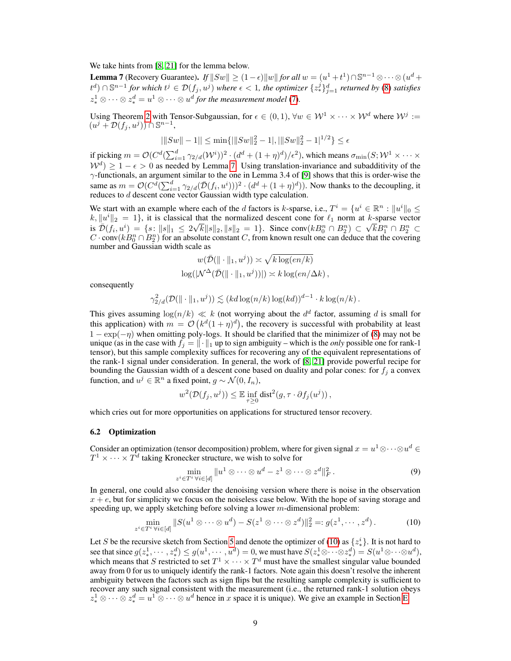We take hints from [\[8,](#page-9-14) [21\]](#page-10-1) for the lemma below.

<span id="page-8-1"></span>**Lemma 7** (Recovery Guarantee). *If*  $||Sw|| \ge (1 - \epsilon) ||w||$  *for all*  $w = (u^1 + t^1) \cap \mathbb{S}^{n-1} \otimes \cdots \otimes (u^d +$  $t^d$ ) ∩ S<sup>n-1</sup> for which  $t^j$  ∈  $\mathcal{D}(f_j, u^j)$  where  $\epsilon$  < 1, the optimizer  $\{z_*^j\}_{j=1}^d$  returned by [\(8\)](#page-7-2) satisfies  $z^1_* \otimes \cdots \otimes z^d_* = u^1 \otimes \cdots \otimes u^d$  for the measurement model [\(7\)](#page-7-3).

Using Theorem [2](#page-5-1) with Tensor-Subgaussian, for  $\epsilon \in (0,1)$ ,  $\forall w \in \mathcal{W}^1 \times \cdots \times \mathcal{W}^d$  where  $\mathcal{W}^j :=$  $(u^{j} + \mathcal{D}(f_j, u^{j})) \cap \mathbb{S}^{n-1},$ 

$$
|\|Sw\| - 1\| \le \min\{|\|Sw\|_2^2 - 1|, |\|Sw\|_2^2 - 1|^{1/2}\} \le \epsilon
$$

if picking  $m=\mathcal{O}(C^d(\sum_{i=1}^d\gamma_{2/d}(\mathcal{W}^i))^2\cdot (d^d+(1+\eta)^d)/\epsilon^2)$ , which means  $\sigma_{\min}(S;\mathcal{W}^1\times\cdots\times$  $W^d$ )  $\geq 1 - \epsilon > 0$  as needed by Lemma [7.](#page-8-1) Using translation-invariance and subadditivity of the  $\gamma$ -functionals, an argument similar to the one in Lemma 3.4 of [\[9\]](#page-9-15) shows that this is order-wise the same as  $m = \mathcal{O}(C^d(\sum_{i=1}^d \gamma_{2/d}(\bar{\mathcal{D}}(f_i, u^i)))^2 \cdot (d^d + (1 + \eta)^d))$ . Now thanks to the decoupling, it reduces to  $d$  descent cone vector Gaussian width type calculation.

We start with an example where each of the *d* factors is *k*-sparse, i.e.,  $T^i = \{u^i \in \mathbb{R}^n : ||u^i||_0 \leq \delta\}$  $k$ ,  $||u^i||_2 = 1$ , it is classical that the normalized descent cone for  $\ell_1$  norm at k-sparse vector is  $\bar{\mathcal{D}}(f_i, u^i) = \{ s : ||s||_1 \leq 2\sqrt{k}||s||_2, ||s||_2 = 1 \}$ . Since  $conv(kB_0^n \cap B_2^n) \subset \sqrt{k}B_1^n \cap B_2^n \subset$  $C \cdot conv(kB_0^n \cap B_2^n)$  for an absolute constant C, from known result one can deduce that the covering number and Gaussian width scale as

$$
w(\overline{\mathcal{D}}(\|\cdot\|_1, u^j)) \asymp \sqrt{k \log(en/k)}
$$
  

$$
\log(|\mathcal{N}^{\Delta}(\overline{\mathcal{D}}(\|\cdot\|_1, u^j))|) \asymp k \log(en/\Delta k),
$$

consequently

$$
\gamma_{2/d}^2(\mathcal{D}(\|\cdot\|_1, u^j)) \lesssim (kd \log(n/k) \log(kd))^{d-1} \cdot k \log(n/k).
$$

This gives assuming  $log(n/k) \ll k$  (not worrying about the  $d^d$  factor, assuming d is small for this application) with  $m = \mathcal{O}(k^d(1+\eta)^d)$ , the recovery is successful with probability at least  $1 - \exp(-\eta)$  when omitting poly-logs. It should be clarified that the minimizer of [\(8\)](#page-7-2) may not be unique (as in the case with  $f_i = \|\cdot\|_1$  up to sign ambiguity – which is the *only* possible one for rank-1 tensor), but this sample complexity suffices for recovering any of the equivalent representations of the rank-1 signal under consideration. In general, the work of [\[8,](#page-9-14) [21\]](#page-10-1) provide powerful recipe for bounding the Gaussian width of a descent cone based on duality and polar cones: for  $f_i$  a convex function, and  $u^j \in \mathbb{R}^n$  a fixed point,  $g \sim \mathcal{N}(0, I_n)$ ,

$$
w^2(\mathcal{D}(f_j, u^j)) \leq \mathbb{E} \inf_{\tau \geq 0} \text{dist}^2(g, \tau \cdot \partial f_j(u^j)),
$$

which cries out for more opportunities on applications for structured tensor recovery.

#### <span id="page-8-0"></span>6.2 Optimization

Consider an optimization (tensor decomposition) problem, where for given signal  $x = u^1 \otimes \cdots \otimes u^d \in$  $T^1 \times \cdots \times T^d$  taking Kronecker structure, we wish to solve for

<span id="page-8-2"></span>
$$
\min_{z^i \in T^i \; \forall i \in [d]} \|u^1 \otimes \cdots \otimes u^d - z^1 \otimes \cdots \otimes z^d\|_F^2.
$$
\n
$$
(9)
$$

In general, one could also consider the denoising version where there is noise in the observation  $x + e$ , but for simplicity we focus on the noiseless case below. With the hope of saving storage and speeding up, we apply sketching before solving a lower m-dimensional problem:

$$
\min_{z^i \in T^i \,\forall i \in [d]} \|S(u^1 \otimes \cdots \otimes u^d) - S(z^1 \otimes \cdots \otimes z^d)\|_2^2 =: g(z^1, \cdots, z^d).
$$
 (10)

Let S be the recursive sketch from Section [5](#page-6-0) and denote the optimizer of [\(10\)](#page-8-2) as  $\{z^i_*\}$ . It is not hard to see that since  $g(z^1_*, \cdots, z^d_*) \leq g(u^1, \cdots, u^d) = 0$ , we must have  $S(z^1_* \otimes \cdots \otimes z^d_*) = S(u^1 \otimes \cdots \otimes u^d)$ , which means that S restricted to set  $T^1 \times \cdots \times T^d$  must have the smallest singular value bounded away from 0 for us to uniquely identify the rank-1 factors. Note again this doesn't resolve the inherent ambiguity between the factors such as sign flips but the resulting sample complexity is sufficient to recover any such signal consistent with the measurement (i.e., the returned rank-1 solution obeys  $z_*^1 \otimes \cdots \otimes z_*^d = u^1 \otimes \cdots \otimes u^d$  hence in x space it is unique). We give an example in Section [E.](#page-19-1)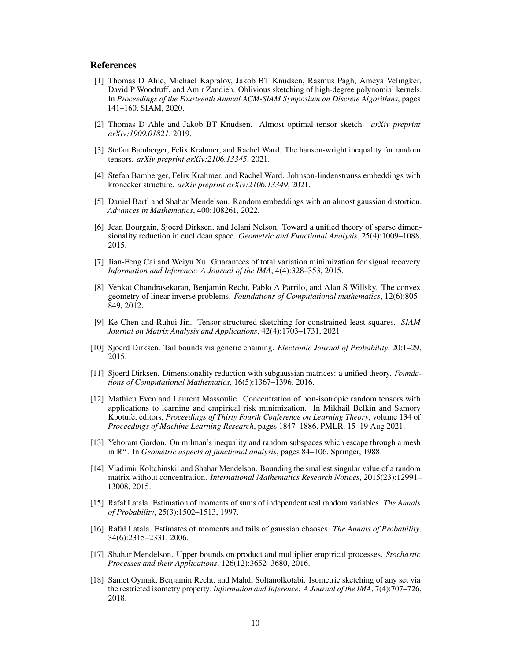## **References**

- <span id="page-9-13"></span>[1] Thomas D Ahle, Michael Kapralov, Jakob BT Knudsen, Rasmus Pagh, Ameya Velingker, David P Woodruff, and Amir Zandieh. Oblivious sketching of high-degree polynomial kernels. In *Proceedings of the Fourteenth Annual ACM-SIAM Symposium on Discrete Algorithms*, pages 141–160. SIAM, 2020.
- <span id="page-9-9"></span>[2] Thomas D Ahle and Jakob BT Knudsen. Almost optimal tensor sketch. *arXiv preprint arXiv:1909.01821*, 2019.
- <span id="page-9-7"></span>[3] Stefan Bamberger, Felix Krahmer, and Rachel Ward. The hanson-wright inequality for random tensors. *arXiv preprint arXiv:2106.13345*, 2021.
- <span id="page-9-12"></span>[4] Stefan Bamberger, Felix Krahmer, and Rachel Ward. Johnson-lindenstrauss embeddings with kronecker structure. *arXiv preprint arXiv:2106.13349*, 2021.
- <span id="page-9-3"></span>[5] Daniel Bartl and Shahar Mendelson. Random embeddings with an almost gaussian distortion. *Advances in Mathematics*, 400:108261, 2022.
- <span id="page-9-1"></span>[6] Jean Bourgain, Sjoerd Dirksen, and Jelani Nelson. Toward a unified theory of sparse dimensionality reduction in euclidean space. *Geometric and Functional Analysis*, 25(4):1009–1088, 2015.
- <span id="page-9-16"></span>[7] Jian-Feng Cai and Weiyu Xu. Guarantees of total variation minimization for signal recovery. *Information and Inference: A Journal of the IMA*, 4(4):328–353, 2015.
- <span id="page-9-14"></span>[8] Venkat Chandrasekaran, Benjamin Recht, Pablo A Parrilo, and Alan S Willsky. The convex geometry of linear inverse problems. *Foundations of Computational mathematics*, 12(6):805– 849, 2012.
- <span id="page-9-15"></span>[9] Ke Chen and Ruhui Jin. Tensor-structured sketching for constrained least squares. *SIAM Journal on Matrix Analysis and Applications*, 42(4):1703–1731, 2021.
- <span id="page-9-8"></span>[10] Sjoerd Dirksen. Tail bounds via generic chaining. *Electronic Journal of Probability*, 20:1–29, 2015.
- <span id="page-9-2"></span>[11] Sjoerd Dirksen. Dimensionality reduction with subgaussian matrices: a unified theory. *Foundations of Computational Mathematics*, 16(5):1367–1396, 2016.
- <span id="page-9-6"></span>[12] Mathieu Even and Laurent Massoulie. Concentration of non-isotropic random tensors with applications to learning and empirical risk minimization. In Mikhail Belkin and Samory Kpotufe, editors, *Proceedings of Thirty Fourth Conference on Learning Theory*, volume 134 of *Proceedings of Machine Learning Research*, pages 1847–1886. PMLR, 15–19 Aug 2021.
- <span id="page-9-0"></span>[13] Yehoram Gordon. On milman's inequality and random subspaces which escape through a mesh in R <sup>n</sup>. In *Geometric aspects of functional analysis*, pages 84–106. Springer, 1988.
- <span id="page-9-5"></span>[14] Vladimir Koltchinskii and Shahar Mendelson. Bounding the smallest singular value of a random matrix without concentration. *International Mathematics Research Notices*, 2015(23):12991– 13008, 2015.
- <span id="page-9-17"></span>[15] Rafał Latała. Estimation of moments of sums of independent real random variables. *The Annals of Probability*, 25(3):1502–1513, 1997.
- <span id="page-9-10"></span>[16] Rafał Latała. Estimates of moments and tails of gaussian chaoses. *The Annals of Probability*, 34(6):2315–2331, 2006.
- <span id="page-9-11"></span>[17] Shahar Mendelson. Upper bounds on product and multiplier empirical processes. *Stochastic Processes and their Applications*, 126(12):3652–3680, 2016.
- <span id="page-9-4"></span>[18] Samet Oymak, Benjamin Recht, and Mahdi Soltanolkotabi. Isometric sketching of any set via the restricted isometry property. *Information and Inference: A Journal of the IMA*, 7(4):707–726, 2018.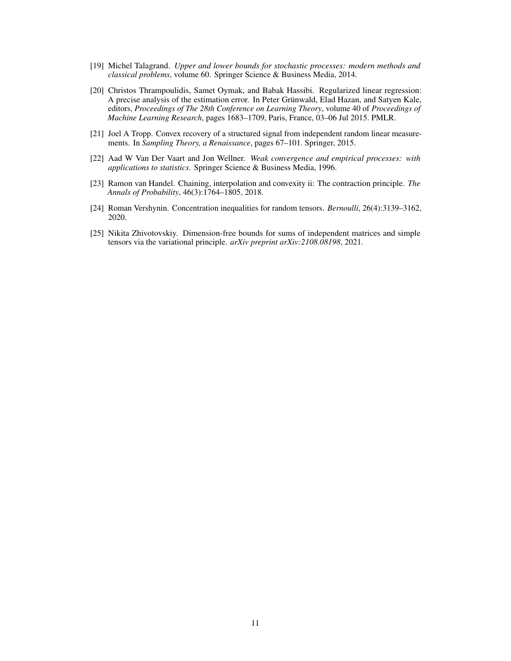- <span id="page-10-4"></span>[19] Michel Talagrand. *Upper and lower bounds for stochastic processes: modern methods and classical problems*, volume 60. Springer Science & Business Media, 2014.
- <span id="page-10-0"></span>[20] Christos Thrampoulidis, Samet Oymak, and Babak Hassibi. Regularized linear regression: A precise analysis of the estimation error. In Peter Grünwald, Elad Hazan, and Satyen Kale, editors, *Proceedings of The 28th Conference on Learning Theory*, volume 40 of *Proceedings of Machine Learning Research*, pages 1683–1709, Paris, France, 03–06 Jul 2015. PMLR.
- <span id="page-10-1"></span>[21] Joel A Tropp. Convex recovery of a structured signal from independent random linear measurements. In *Sampling Theory, a Renaissance*, pages 67–101. Springer, 2015.
- <span id="page-10-6"></span>[22] Aad W Van Der Vaart and Jon Wellner. *Weak convergence and empirical processes: with applications to statistics*. Springer Science & Business Media, 1996.
- <span id="page-10-5"></span>[23] Ramon van Handel. Chaining, interpolation and convexity ii: The contraction principle. *The Annals of Probability*, 46(3):1764–1805, 2018.
- <span id="page-10-3"></span>[24] Roman Vershynin. Concentration inequalities for random tensors. *Bernoulli*, 26(4):3139–3162, 2020.
- <span id="page-10-2"></span>[25] Nikita Zhivotovskiy. Dimension-free bounds for sums of independent matrices and simple tensors via the variational principle. *arXiv preprint arXiv:2108.08198*, 2021.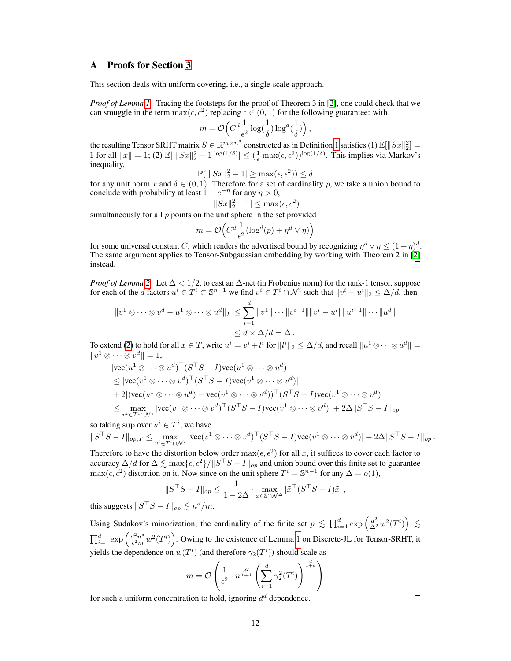## A Proofs for Section [3](#page-2-1)

This section deals with uniform covering, i.e., a single-scale approach.

*Proof of Lemma [1.](#page-2-2)* Tracing the footsteps for the proof of Theorem 3 in [\[2\]](#page-9-9), one could check that we can smuggle in the term  $\max(\epsilon, \epsilon^2)$  replacing  $\epsilon \in (0, 1)$  for the following guarantee: with

$$
m = \mathcal{O}\left(C^d \frac{1}{\epsilon^2} \log\left(\frac{1}{\delta}\right) \log^d\left(\frac{1}{\delta}\right)\right),\,
$$

the resulting Tensor SRHT matrix  $S \in \mathbb{R}^{m \times n^d}$  constructed as in Definition [1](#page-1-0) satisfies (1)  $\mathbb{E}[\|Sx\|_2^2] =$ 1 for all  $||x|| = 1$ ; (2)  $\mathbb{E}[||Sx||_2^2 - 1]^{\log(1/\delta)} \le (\frac{1}{\epsilon} \max(\epsilon, \epsilon^2))^{\log(1/\delta)}$ . This implies via Markov's inequality,

$$
\mathbb{P}(|||Sx||_2^2 - 1| \ge \max(\epsilon, \epsilon^2)) \le \delta
$$

for any unit norm x and  $\delta \in (0, 1)$ . Therefore for a set of cardinality p, we take a union bound to conclude with probability at least  $1 - e^{-\eta}$  for any  $\eta > 0$ ,

$$
|\|Sx\|_2^2 - 1| \le \max(\epsilon, \epsilon^2)
$$

simultaneously for all  $p$  points on the unit sphere in the set provided

$$
m = \mathcal{O}\left(C^d \frac{1}{\epsilon^2} (\log^d(p) + \eta^d \vee \eta)\right)
$$

for some universal constant C, which renders the advertised bound by recognizing  $\eta^d \vee \eta \leq (1+\eta)^d$ . The same argument applies to Tensor-Subgaussian embedding by working with Theorem 2 in [\[2\]](#page-9-9) instead. П

*Proof of Lemma* [2.](#page-3-1) Let  $\Delta$  < 1/2, to cast an  $\Delta$ -net (in Frobenius norm) for the rank-1 tensor, suppose for each of the d factors  $u^i \in T^i \subset \mathbb{S}^{n-1}$  we find  $v^i \in T^i \cap \mathcal{N}^i$  such that  $||v^i - u^i||_2 \leq \Delta/d$ , then

$$
||v^1 \otimes \cdots \otimes v^d - u^1 \otimes \cdots \otimes u^d||_F \le \sum_{i=1}^d ||v^1|| \cdots ||v^{i-1}|| ||v^i - u^i|| ||u^{i+1}|| \cdots ||u^d||
$$
  

$$
\le d \times \Delta/d = \Delta.
$$

To extend [\(2\)](#page-1-1) to hold for all  $x\in T$ , write  $u^i=v^i+l^i$  for  $\|l^i\|_2\leq \Delta/d,$  and recall  $\|u^1\otimes\cdots\otimes u^d\|=$  $||v^1 \otimes \cdots \otimes v^d|| = 1,$ 

$$
|vec(u^1 \otimes \cdots \otimes u^d)^\top (S^\top S - I)vec(u^1 \otimes \cdots \otimes u^d)|
$$
  
\n
$$
\leq |vec(v^1 \otimes \cdots \otimes v^d)^\top (S^\top S - I)vec(v^1 \otimes \cdots \otimes v^d)|
$$
  
\n
$$
+ 2|(vec(u^1 \otimes \cdots \otimes u^d) - vec(v^1 \otimes \cdots \otimes v^d))^\top (S^\top S - I)vec(v^1 \otimes \cdots \otimes v^d)|
$$
  
\n
$$
\leq \max_{v^i \in T^i \cap \mathcal{N}^i} |vec(v^1 \otimes \cdots \otimes v^d)^\top (S^\top S - I)vec(v^1 \otimes \cdots \otimes v^d)| + 2\Delta ||S^\top S - I||_{op}
$$

so taking sup over  $u^i \in T^i$ , we have

$$
||S^{\top}S - I||_{op,T} \leq \max_{v^i \in T^i \cap \mathcal{N}^i} |{\rm vec}(v^1 \otimes \cdots \otimes v^d)^{\top} (S^{\top}S - I) {\rm vec}(v^1 \otimes \cdots \otimes v^d) | + 2\Delta ||S^{\top}S - I||_{op}.
$$

Therefore to have the distortion below order  $\max(\epsilon, \epsilon^2)$  for all x, it suffices to cover each factor to accuracy  $\Delta/d$  for  $\Delta \lesssim \max\{\epsilon, \epsilon^2\}/\|S^\top S - I\|_{op}$  and union bound over this finite set to guarantee max $(\epsilon, \epsilon^2)$  distortion on it. Now since on the unit sphere  $T^i = \mathbb{S}^{n-1}$  for any  $\Delta = o(1)$ ,

$$
||S^{\top}S - I||_{op} \leq \frac{1}{1 - 2\Delta} \cdot \max_{\tilde{x} \in \mathbb{S} \cap \mathcal{N}^{\Delta}} |\tilde{x}^{\top} (S^{\top}S - I)\tilde{x}|,
$$

this suggests  $||S^\top S - I||_{op} \lesssim n^d/m$ .

Using Sudakov's minorization, the cardinality of the finite set  $p \lesssim \prod_{i=1}^d \exp\left(\frac{d^2}{\Delta^2} w^2(T^i)\right) \lesssim$  $\prod_{i=1}^d \exp\left(\frac{d^2n^d}{\epsilon^2m}\right)$  $\frac{d^2n^d}{\epsilon^2m}w^2(T^i)\Big).$  Owing to the existence of Lemma [1](#page-2-2) on Discrete-JL for Tensor-SRHT, it yields the dependence on  $w(T^i)$  (and therefore  $\gamma_2(T^i)$ ) should scale as

$$
m = \mathcal{O}\left(\frac{1}{\epsilon^2} \cdot n^{\frac{d^2}{1+d}} \left(\sum_{i=1}^d \gamma_2^2(T^i)\right)^{\frac{d}{1+d}}\right)
$$

for such a uniform concentration to hold, ignoring  $d^d$  dependence.

 $\Box$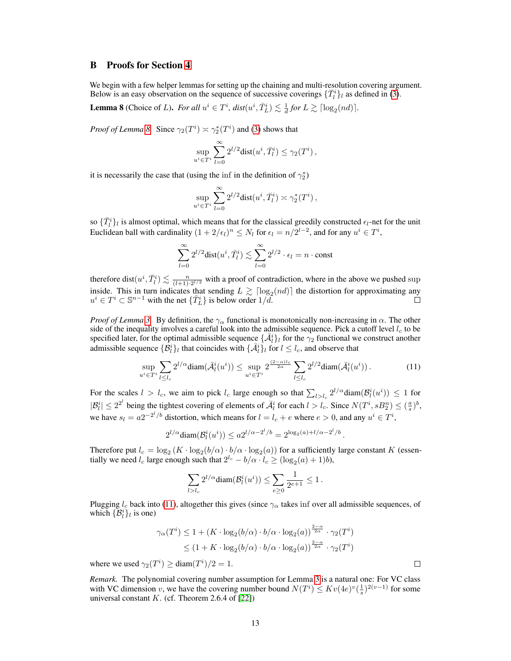## <span id="page-12-0"></span>B Proofs for Section [4](#page-3-0)

We begin with a few helper lemmas for setting up the chaining and multi-resolution covering argument. Below is an easy observation on the sequence of successive coverings  $\{\bar{T}_l^i\}_l$  as defined in [\(3\)](#page-4-0).

<span id="page-12-1"></span>**Lemma 8** (Choice of *L*). *For all*  $u^i \in T^i$ ,  $dist(u^i, \overline{T_L}^i) \lesssim \frac{1}{d}$  for  $L \gtrsim \lceil \log_2(nd) \rceil$ .

*Proof of Lemma [8.](#page-12-1)* Since  $\gamma_2(T^i) \asymp \gamma_2^*(T^i)$  and [\(3\)](#page-4-0) shows that

$$
\sup_{u^i \in T^i} \sum_{l=0}^{\infty} 2^{l/2} \text{dist}(u^i, \bar{T}_l^i) \le \gamma_2(T^i) \,,
$$

it is necessarily the case that (using the inf in the definition of  $\gamma_2^*$ )

$$
\sup_{u^i \in T^i} \sum_{l=0}^{\infty} 2^{l/2} \text{dist}(u^i, \bar{T}_l^i) \asymp \gamma_2^*(T^i),
$$

so  $\{\bar{T}_l^i\}_l$  is almost optimal, which means that for the classical greedily constructed  $\epsilon_l$ -net for the unit Euclidean ball with cardinality  $(1 + 2/\epsilon_l)^n \leq N_l$  for  $\epsilon_l = n/2^{l-2}$ , and for any  $u^i \in T^i$ ,

<span id="page-12-2"></span>
$$
\sum_{l=0}^{\infty} 2^{l/2} \text{dist}(u^i, \overline{T}_l^i) \lesssim \sum_{l=0}^{\infty} 2^{l/2} \cdot \epsilon_l = n \cdot \text{const}
$$

therefore dist $(u^i, \overline{T}_l^i) \lesssim \frac{n}{(l+1) \cdot 2^{l/2}}$  with a proof of contradiction, where in the above we pushed sup inside. This in turn indicates that sending  $L \gtrsim \lceil \log_2(nd) \rceil$  the distortion for approximating any  $u^i \in T^i \subset \mathbb{S}^{n-1}$  with the net  $\{\overline{T}_L^i\}$  is below order  $1/d$ .  $\Box$ 

*Proof of Lemma* [3.](#page-4-3) By definition, the  $\gamma_\alpha$  functional is monotonically non-increasing in  $\alpha$ . The other side of the inequality involves a careful look into the admissible sequence. Pick a cutoff level  $l_c$  to be specified later, for the optimal admissible sequence  $\{\bar{\mathcal{A}}_i^i\}_l$  for the  $\gamma_2$  functional we construct another admissible sequence  $\{\hat{B}_l^i\}_l$  that coincides with  $\{\bar{A}_l^i\}_l$  for  $l \leq l_c$ , and observe that

$$
\sup_{u^i \in T^i} \sum_{l \le l_c} 2^{l/\alpha} \text{diam}(\bar{\mathcal{A}}_l^i(u^i)) \le \sup_{u^i \in T^i} 2^{\frac{(2-\alpha)l_c}{2\alpha}} \sum_{l \le l_c} 2^{l/2} \text{diam}(\bar{\mathcal{A}}_l^i(u^i)).\tag{11}
$$

For the scales  $l > l_c$ , we aim to pick  $l_c$  large enough so that  $\sum_{l>l_c} 2^{l/\alpha}$ diam $(\mathcal{B}_l^i(u^i)) \leq 1$  for  $|\mathcal{B}_l^i| \leq 2^{2^l}$  being the tightest covering of elements of  $\bar{\mathcal{A}}_l^i$  for each  $l > l_c$ . Since  $N(T^i, sB_2^n) \leq (\frac{a}{s})^b$ , we have  $s_l = a2^{-2^l/b}$  distortion, which means for  $l = l_c + e$  where  $e > 0$ , and any  $u^i \in T^i$ ,

$$
2^{l/\alpha} \text{diam}(\mathcal{B}_l^i(u^i)) \le a 2^{l/\alpha - 2^l/b} = 2^{\log_2(a) + l/\alpha - 2^l/b}.
$$

Therefore put  $l_c = \log_2 (K \cdot \log_2(b/\alpha) \cdot b/\alpha \cdot \log_2(a))$  for a sufficiently large constant K (essentially we need  $l_c$  large enough such that  $2^{l_c} - b/\alpha \cdot l_c \ge (\log_2(a) + 1)b$ ,

$$
\sum_{l>l_c}2^{l/\alpha}{\rm diam}(\mathcal{B}_l^i(u^i))\leq \sum_{e\geq 0}\frac{1}{2^{e+1}}\leq 1\,.
$$

Plugging  $l_c$  back into [\(11\)](#page-12-2), altogether this gives (since  $\gamma_\alpha$  takes inf over all admissible sequences, of which  $\{\mathcal{B}_l^i\}_l$  is one)

$$
\gamma_{\alpha}(T^i) \le 1 + (K \cdot \log_2(b/\alpha) \cdot b/\alpha \cdot \log_2(a))^{\frac{2-\alpha}{2\alpha}} \cdot \gamma_2(T^i)
$$
  
 
$$
\le (1 + K \cdot \log_2(b/\alpha) \cdot b/\alpha \cdot \log_2(a))^{\frac{2-\alpha}{2\alpha}} \cdot \gamma_2(T^i)
$$

where we used  $\gamma_2(T^i) \ge \text{diam}(T^i)/2 = 1$ .

*Remark.* The polynomial covering number assumption for Lemma [3](#page-4-3) is a natural one: For VC class with VC dimension v, we have the covering number bound  $N(T^i) \leq Kv(4e)^{v}(\frac{1}{s})^{2(v-1)}$  for some universal constant  $K$ . (cf. Theorem 2.6.4 of [\[22\]](#page-10-6))

 $\Box$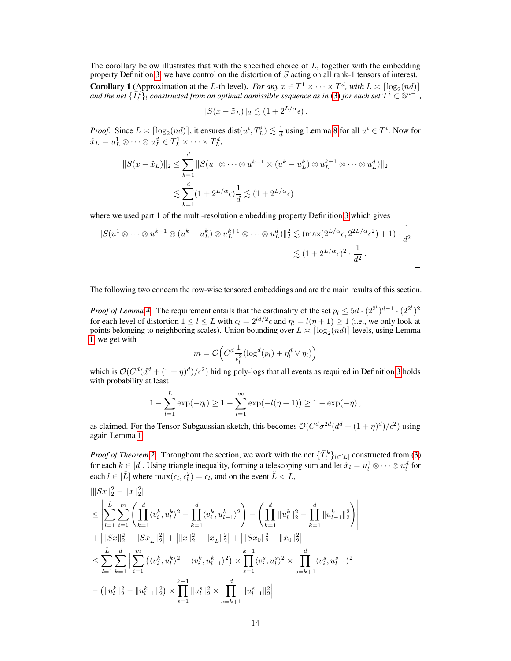<span id="page-13-0"></span>The corollary below illustrates that with the specified choice of  $L$ , together with the embedding property Definition [3,](#page-4-2) we have control on the distortion of  $S$  acting on all rank-1 tensors of interest. **Corollary 1** (Approximation at the L-th level). *For any*  $x \in T^1 \times \cdots \times T^d$ , with  $L \approx \lfloor \log_2(nd) \rfloor$ and the net  $\{\bar{T}_l^i\}_l$  constructed from an optimal admissible sequence as in [\(3\)](#page-4-0) for each set  $T^i\subseteq\mathbb S^{n-1}$ ,

$$
||S(x - \tilde{x}_L)||_2 \lesssim (1 + 2^{L/\alpha} \epsilon).
$$

*Proof.* Since  $L \times \left[\log_2(nd)\right]$ , it ensures dist $(u^i, \overline{T_L^i}) \lesssim \frac{1}{d}$  using Lemma [8](#page-12-1) for all  $u^i \in T^i$ . Now for  $\tilde{x}_L = u^1_L \otimes \cdots \otimes u^d_L \in \overline{T}_L^1 \times \cdots \times \overline{T}_L^d$ 

$$
||S(x - \tilde{x}_L)||_2 \le \sum_{k=1}^d ||S(u^1 \otimes \cdots \otimes u^{k-1} \otimes (u^k - u^k) \otimes u^{k+1}_L \otimes \cdots \otimes u^d_L)||_2
$$
  

$$
\lesssim \sum_{k=1}^d (1 + 2^{L/\alpha} \epsilon) \frac{1}{d} \lesssim (1 + 2^{L/\alpha} \epsilon)
$$

where we used part 1 of the multi-resolution embedding property Definition [3](#page-4-2) which gives

$$
||S(u^1 \otimes \cdots \otimes u^{k-1} \otimes (u^k - u_L^k) \otimes u_L^{k+1} \otimes \cdots \otimes u_L^d)||_2^2 \lesssim (\max(2^{L/\alpha} \epsilon, 2^{2L/\alpha} \epsilon^2) + 1) \cdot \frac{1}{d^2}
$$
  

$$
\lesssim (1 + 2^{L/\alpha} \epsilon)^2 \cdot \frac{1}{d^2}.
$$

The following two concern the row-wise tensored embeddings and are the main results of this section.

*Proof of Lemma [4.](#page-5-0)* The requirement entails that the cardinality of the set  $p_l \leq 5d \cdot (2^{2^l})^{d-1} \cdot (2^{2^l})^2$ for each level of distortion  $1 \leq l \leq L$  with  $\epsilon_l = 2^{ld/2} \epsilon$  and  $\eta_l = l(\eta + 1) \geq 1$  (i.e., we only look at points belonging to neighboring scales). Union bounding over  $L \asymp \lceil \log_2(nd) \rceil$  levels, using Lemma [1,](#page-2-2) we get with

$$
m = \mathcal{O}\left(C^d \frac{1}{\epsilon_l^2} (\log^d(p_l) + \eta_l^d \vee \eta_l)\right)
$$

which is  $O(C^d(d^d + (1+\eta)^d)/\epsilon^2)$  hiding poly-logs that all events as required in Definition [3](#page-4-2) holds with probability at least

$$
1 - \sum_{l=1}^{L} \exp(-\eta_l) \ge 1 - \sum_{l=1}^{\infty} \exp(-l(\eta + 1)) \ge 1 - \exp(-\eta),
$$

as claimed. For the Tensor-Subgaussian sketch, this becomes  $O(C^d \sigma^{2d} (d^d + (1+\eta)^d)/\epsilon^2)$  using again Lemma [1.](#page-2-2)

*Proof of Theorem [2.](#page-5-1)* Throughout the section, we work with the net  $\{ \bar{T}_l^k \}_{l \in [L]}$  constructed from [\(3\)](#page-4-0) for each  $k \in [d]$ . Using triangle inequality, forming a telescoping sum and let  $\tilde{x}_l = u_l^1 \otimes \cdots \otimes u_l^d$  for each  $l \in [\tilde{L}]$  where  $\max(\epsilon_l, \epsilon_l^2) = \epsilon_l$ , and on the event  $\tilde{L} < L$ ,

$$
\begin{split} &|||Sx||_2^2 - \|x\|_2^2| \\ &\leq \left|\sum_{l=1}^{\tilde{L}}\sum_{i=1}^m\left(\prod_{k=1}^d \langle v_i^k,u_l^k\rangle^2 - \prod_{k=1}^d \langle v_i^k,u_{l-1}^k\rangle^2\right) - \left(\prod_{k=1}^d \|u_l^k\|_2^2 - \prod_{k=1}^d \|u_{l-1}^k\|_2^2\right) \right| \\ &+ \left|\|Sx\|_2^2 - \|S\tilde{x}_{\tilde{L}}\|_2^2\right| + \left|\|x\|_2^2 - \|\tilde{x}_{\tilde{L}}\|_2^2\right| + \left|\|S\tilde{x}_0\|_2^2 - \|\tilde{x}_0\|_2^2\right| \\ &\leq \sum_{l=1}^{\tilde{L}}\sum_{k=1}^d \left|\sum_{i=1}^m \left(\langle v_i^k,u_l^k\rangle^2 - \langle v_i^k,u_{l-1}^k\rangle^2\right) \times \prod_{s=1}^{k-1} \langle v_i^s,u_l^s\rangle^2 \times \prod_{s=k+1}^d \langle v_i^s,u_{l-1}^s\rangle^2 \right. \\ &- \left(\|u_l^k\|_2^2 - \|u_{l-1}^k\|_2^2\right) \times \prod_{s=1}^{k-1} \|u_l^s\|_2^2 \times \prod_{s=k+1}^d \|u_{l-1}^s\|_2^2 \right| \end{split}
$$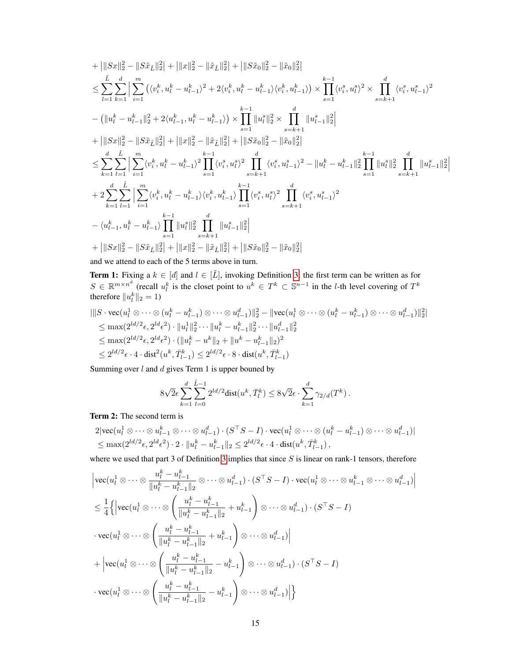$$
+ |||Sx||_2^2 - ||S\tilde{x}_L||_2^2| + |||x||_2^2 - ||\tilde{x}_L||_2^2| + |||S\tilde{x}_0||_2^2 - ||\tilde{x}_0||_2^2| \n\leq \sum_{l=1}^{\tilde{L}} \sum_{k=1}^d \Big| \sum_{i=1}^m \big(\langle v_i^k, u_l^k - u_{l-1}^k \rangle^2 + 2\langle v_i^k, u_l^k - u_{l-1}^k \rangle \langle v_i^k, u_{l-1}^k \rangle \big) \times \prod_{s=1}^{k-1} \langle v_i^s, u_i^s \rangle^2 \times \prod_{s=k+1}^d \langle v_i^s, u_{l-1}^s \rangle^2 \n- \big( ||u_l^k - u_{l-1}^k||_2^2 + 2\langle u_{l-1}^k, u_l^k - u_{l-1}^k \rangle \big) \times \prod_{s=1}^{\tilde{L}} ||u_l^s||_2^2 \times \prod_{s=k+1}^d ||u_{l-1}^s||_2^2 \Big| \n+ |||Sx||_2^2 - ||S\tilde{x}_L||_2^2| + |||x||_2^2 - ||\tilde{x}_L||_2^2| + |||S\tilde{x}_0||_2^2 - ||\tilde{x}_0||_2^2| \n\leq \sum_{k=1}^d \sum_{l=1}^{\tilde{L}} \Big| \sum_{i=1}^m \langle v_i^k, u_l^k - u_{l-1}^k \rangle^2 \prod_{s=1}^{k-1} \langle v_i^s, u_i^s \rangle^2 \prod_{s=k+1}^d \langle v_i^s, u_{l-1}^s \rangle^2 - ||u_l^k - u_{l-1}^k||_2^2 \prod_{s=1}^d ||u_l^s||_2^2 \prod_{s=k+1}^d ||u_{l-1}^s||_2^2 \Big| \n+ 2 \sum_{k=1}^d \sum_{l=1}^{\tilde{L}} \Big| \sum_{i=1}^m \langle v_i^k, u_l^k - u_{l-1}^k \rangle \langle v_i^k, u_{l-1}^k \rangle \prod_{s=1}^d \langle v_i^s, u_l^s \rangle^2 \prod_{s=k+1}^d \langle v_i^s, u_{l-
$$

and we attend to each of the 5 terms above in turn.

**Term 1:** Fixing a  $k \in [d]$  and  $l \in [\tilde{L}]$ , invoking Definition [3,](#page-4-2) the first term can be written as for  $S \in \mathbb{R}^{m \times n^d}$  (recall  $u_l^k$  is the closet point to  $u^k \in T^k \subset \mathbb{S}^{n-1}$  in the *l*-th level covering of  $T^k$ therefore  $||u_l^k||_2 = 1$ )

$$
\begin{split} &|||S\cdot \text{vec}(u_l^1\otimes \cdots \otimes (u_l^k-u_{l-1}^k)\otimes \cdots \otimes u_{l-1}^d)||_2^2- \|\text{vec}(u_l^1\otimes \cdots \otimes (u_l^k-u_{l-1}^k)\otimes \cdots \otimes u_{l-1}^d)||_2^2|\\ &\leq \max(2^{ld/2}\epsilon, 2^{ld}\epsilon^2)\cdot \|u_l^1\|_2^2\cdots \|u_l^k-u_{l-1}^k\|_2^2\cdots \|u_{l-1}^d\|_2^2\\ &\leq \max(2^{ld/2}\epsilon, 2^{ld}\epsilon^2)\cdot (\|u_l^k-u^k\|_2+\|u^k-u_{l-1}^k\|_2)^2\\ &\leq 2^{ld/2}\epsilon\cdot 4\cdot \text{dist}^2(u^k,\bar{T}_{l-1}^k)\leq 2^{ld/2}\epsilon\cdot 8\cdot \text{dist}(u^k,\bar{T}_{l-1}^k) \end{split}
$$

Summing over  $l$  and  $d$  gives Term 1 is upper bouned by

$$
8\sqrt{2}\epsilon \sum_{k=1}^d \sum_{l=0}^{\tilde{L}-1} 2^{ld/2} \text{dist}(u^k, \bar{T}_l^k) \le 8\sqrt{2}\epsilon \cdot \sum_{k=1}^d \gamma_{2/d}(T^k) \,.
$$

Term 2: The second term is

$$
2|\text{vec}(u_l^1 \otimes \cdots \otimes u_{l-1}^k \otimes \cdots \otimes u_{l-1}^d) \cdot (S^\top S - I) \cdot \text{vec}(u_l^1 \otimes \cdots \otimes (u_l^k - u_{l-1}^k) \otimes \cdots \otimes u_{l-1}^d)|
$$
  
\$\leq\$ max( $2^{ld/2} \epsilon, 2^{ld} \epsilon^2$ ) \cdot 2 \cdot ||u\_l^k - u\_{l-1}^k||\_2 \leq 2^{ld/2} \epsilon \cdot 4 \cdot dist(u^k, \bar{T}\_{l-1}^k),

where we used that part [3](#page-4-2) of Definition 3 implies that since  $S$  is linear on rank-1 tensors, therefore

$$
\begin{aligned}\n&\left|\text{vec}(u_l^1 \otimes \cdots \otimes \frac{u_l^k - u_{l-1}^k}{\|u_l^k - u_{l-1}^k\|_2} \otimes \cdots \otimes u_{l-1}^d) \cdot (S^\top S - I) \cdot \text{vec}(u_l^1 \otimes \cdots \otimes u_{l-1}^k) \right| \\
&\leq \frac{1}{4} \left\{ \left|\text{vec}(u_l^1 \otimes \cdots \otimes \left(\frac{u_l^k - u_{l-1}^k}{\|u_l^k - u_{l-1}^k\|_2} + u_{l-1}^k\right) \otimes \cdots \otimes u_{l-1}^d) \cdot (S^\top S - I) \right.\right. \\
&\cdot \text{vec}(u_l^1 \otimes \cdots \otimes \left(\frac{u_l^k - u_{l-1}^k}{\|u_l^k - u_{l-1}^k\|_2} + u_{l-1}^k\right) \otimes \cdots \otimes u_{l-1}^d) \right| \\
&+ \left|\text{vec}(u_l^1 \otimes \cdots \otimes \left(\frac{u_l^k - u_{l-1}^k}{\|u_l^k - u_{l-1}^k\|_2} - u_{l-1}^k\right) \otimes \cdots \otimes u_{l-1}^d) \cdot (S^\top S - I) \right. \\
&\cdot \text{vec}(u_l^1 \otimes \cdots \otimes \left(\frac{u_l^k - u_{l-1}^k}{\|u_l^k - u_{l-1}^k\|_2} - u_{l-1}^k\right) \otimes \cdots \otimes u_{l-1}^d) \right| \right\}\n\end{aligned}
$$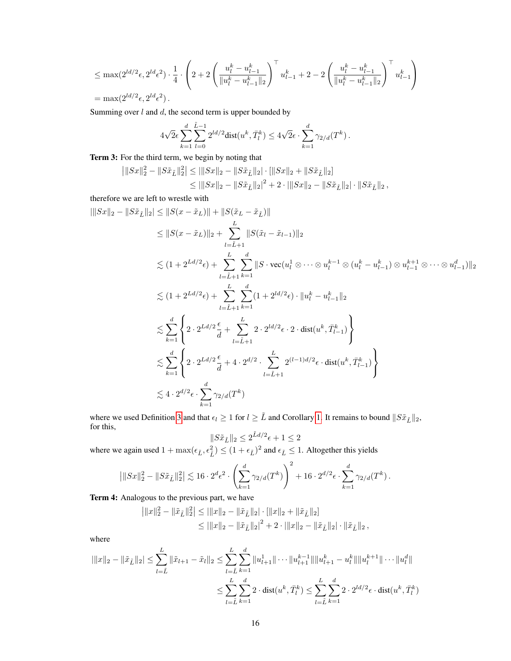$$
\leq \max(2^{ld/2}\epsilon, 2^{ld}\epsilon^2)\cdot \frac{1}{4}\cdot \left(2+2\left(\frac{u_l^k-u_{l-1}^k}{\|u_l^k-u_{l-1}^k\|_2}\right)^\top u_{l-1}^k + 2 - 2\left(\frac{u_l^k-u_{l-1}^k}{\|u_l^k-u_{l-1}^k\|_2}\right)^\top u_{l-1}^k\right) \newline - \max(2^{ld/2}\epsilon, 2^{ld}\epsilon^2)
$$

 $=$  max $(2^{ld/2}\epsilon, 2^{ld}\epsilon^2)$ .

Summing over  $l$  and  $d$ , the second term is upper bounded by

$$
4\sqrt{2}\epsilon \sum_{k=1}^d \sum_{l=0}^{\tilde{L}-1} 2^{ld/2} \text{dist}(u^k, \bar{T}_l^k) \le 4\sqrt{2}\epsilon \cdot \sum_{k=1}^d \gamma_{2/d}(T^k) .
$$

Term 3: For the third term, we begin by noting that

$$
\begin{aligned} \left| \|Sx\|_2^2 - \|S\tilde{x}_{\tilde{L}}\|_2^2 \right| &\leq \left| \|Sx\|_2 - \|S\tilde{x}_{\tilde{L}}\|_2 \right| \cdot \left[ \|Sx\|_2 + \|S\tilde{x}_{\tilde{L}}\|_2 \right] \\ &\leq \left| \|Sx\|_2 - \|S\tilde{x}_{\tilde{L}}\|_2 \right|^2 + 2 \cdot \left| \|Sx\|_2 - \|S\tilde{x}_{\tilde{L}}\|_2 \right| \cdot \left| S\tilde{x}_{\tilde{L}}\|_2 \right|, \end{aligned}
$$

therefore we are left to wrestle with

$$
\begin{split} |||Sx||_2 - ||S\tilde{x}_L||_2| &\leq ||S(x - \tilde{x}_L)|| + ||S(\tilde{x}_L - \tilde{x}_L)|| \\ &\leq ||S(x - \tilde{x}_L)||_2 + \sum_{l = \tilde{L} + 1}^L ||S(\tilde{x}_l - \tilde{x}_{l-1})||_2 \\ &\lesssim (1 + 2^{Ld/2}\epsilon) + \sum_{l = \tilde{L} + 1}^L \sum_{k = 1}^d ||S \cdot \text{vec}(u_l^1 \otimes \cdots \otimes u_l^{k-1} \otimes (u_l^k - u_{l-1}^k) \otimes u_{l-1}^{k+1} \otimes \cdots \otimes u_{l-1}^d) ||_2 \\ &\lesssim (1 + 2^{Ld/2}\epsilon) + \sum_{l = \tilde{L} + 1}^L \sum_{k = 1}^d (1 + 2^{ld/2}\epsilon) \cdot ||u_l^k - u_{l-1}^k||_2 \\ &\lesssim \sum_{k = 1}^d \left\{ 2 \cdot 2^{Ld/2} \frac{\epsilon}{d} + \sum_{l = \tilde{L} + 1}^L 2 \cdot 2^{ld/2} \epsilon \cdot 2 \cdot \text{dist}(u^k, \bar{T}_{l-1}^k) \right\} \\ &\lesssim \sum_{k = 1}^d \left\{ 2 \cdot 2^{Ld/2} \frac{\epsilon}{d} + 4 \cdot 2^{d/2} \cdot \sum_{l = \tilde{L} + 1}^L 2^{(l-1)d/2} \epsilon \cdot \text{dist}(u^k, \bar{T}_{l-1}^k) \right\} \\ &\lesssim 4 \cdot 2^{d/2} \epsilon \cdot \sum_{k = 1}^d \gamma_{2/d}(T^k) \end{split}
$$

where we used Definition [3](#page-4-2) and that  $\epsilon_l \ge 1$  for  $l \ge \tilde{L}$  and Corollary [1.](#page-13-0) It remains to bound  $||S\tilde{x}_{\tilde{L}}||_2$ , for this,

$$
||S\tilde{x}_{\tilde{L}}||_2 \le 2^{\tilde{L}d/2}\epsilon + 1 \le 2
$$

where we again used  $1 + \max(\epsilon_{\tilde{L}}, \epsilon_{\tilde{L}}^2) \le (1 + \epsilon_{\tilde{L}})^2$  and  $\epsilon_{\tilde{L}} \le 1$ . Altogether this yields

$$
\left| \|Sx\|_2^2 - \|S\tilde{x}_{\tilde{L}}\|_2^2 \right| \lesssim 16 \cdot 2^d \epsilon^2 \cdot \left( \sum_{k=1}^d \gamma_{2/d}(T^k) \right)^2 + 16 \cdot 2^{d/2} \epsilon \cdot \sum_{k=1}^d \gamma_{2/d}(T^k) \, .
$$

Term 4: Analogous to the previous part, we have

$$
\begin{aligned} \left| \|x\|_2^2 - \|\tilde{x}_{\tilde{L}}\|_2^2 \right| &\leq \|\|x\|_2 - \|\tilde{x}_{\tilde{L}}\|_2| \cdot \|\|x\|_2 + \|\tilde{x}_{\tilde{L}}\|_2] \\ &\leq \|\|x\|_2 - \|\tilde{x}_{\tilde{L}}\|_2\|^2 + 2 \cdot \|\|x\|_2 - \|\tilde{x}_{\tilde{L}}\|_2| \cdot \|\tilde{x}_{\tilde{L}}\|_2 \,, \end{aligned}
$$

where

$$
|\|x\|_2 - \|\tilde{x}_{\tilde{L}}\|_2| \le \sum_{l=\tilde{L}}^L \|\tilde{x}_{l+1} - \tilde{x}_l\|_2 \le \sum_{l=\tilde{L}}^L \sum_{k=1}^d \|u_{l+1}^1\| \cdots \|u_{l+1}^{k-1}\| \|u_{l+1}^k - u_l^k\| \|u_l^{k+1}\| \cdots \|u_l^d\|
$$
  

$$
\le \sum_{l=\tilde{L}}^L \sum_{k=1}^d 2 \cdot \text{dist}(u^k, \bar{T}_l^k) \le \sum_{l=\tilde{L}}^L \sum_{k=1}^d 2 \cdot 2^{ld/2} \epsilon \cdot \text{dist}(u^k, \bar{T}_l^k)
$$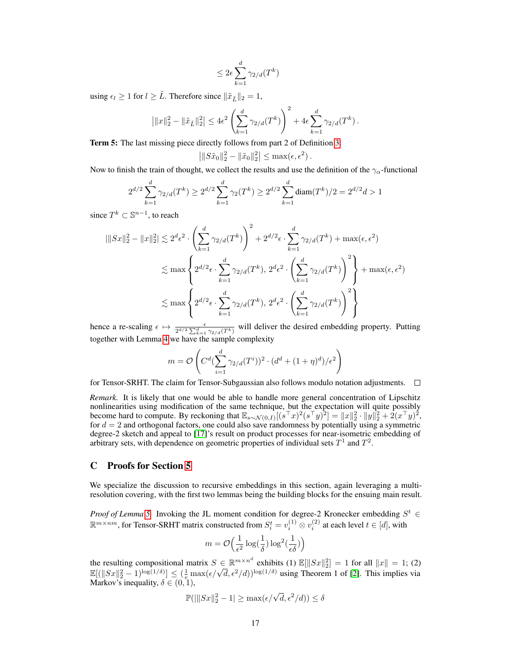$$
\leq 2\epsilon \sum_{k=1}^d \gamma_{2/d}(T^k)
$$

using  $\epsilon_l \geq 1$  for  $l \geq \tilde{L}$ . Therefore since  $\|\tilde{x}_{\tilde{L}}\|_2 = 1$ ,

$$
\left| \|x\|_2^2 - \|\tilde{x}_{\tilde{L}}\|_2^2 \right| \le 4\epsilon^2 \left( \sum_{k=1}^d \gamma_{2/d}(T^k) \right)^2 + 4\epsilon \sum_{k=1}^d \gamma_{2/d}(T^k).
$$

Term 5: The last missing piece directly follows from part 2 of Definition [3:](#page-4-2)

$$
\left|\|S\tilde{x}_0\|_2^2 - \|\tilde{x}_0\|_2^2\right| \leq \max(\epsilon, \epsilon^2).
$$

Now to finish the train of thought, we collect the results and use the definition of the  $\gamma_\alpha$ -functional

$$
2^{d/2} \sum_{k=1}^{d} \gamma_{2/d}(T^k) \ge 2^{d/2} \sum_{k=1}^{d} \gamma_2(T^k) \ge 2^{d/2} \sum_{k=1}^{d} \text{diam}(T^k)/2 = 2^{d/2}d > 1
$$

since  $T^k \subset \mathbb{S}^{n-1}$ , to reach

$$
|\|Sx\|_2^2 - \|x\|_2^2| \lesssim 2^d \epsilon^2 \cdot \left(\sum_{k=1}^d \gamma_{2/d}(T^k)\right)^2 + 2^{d/2} \epsilon \cdot \sum_{k=1}^d \gamma_{2/d}(T^k) + \max(\epsilon, \epsilon^2)
$$
  

$$
\lesssim \max\left\{2^{d/2} \epsilon \cdot \sum_{k=1}^d \gamma_{2/d}(T^k), 2^d \epsilon^2 \cdot \left(\sum_{k=1}^d \gamma_{2/d}(T^k)\right)^2\right\} + \max(\epsilon, \epsilon^2)
$$
  

$$
\lesssim \max\left\{2^{d/2} \epsilon \cdot \sum_{k=1}^d \gamma_{2/d}(T^k), 2^d \epsilon^2 \cdot \left(\sum_{k=1}^d \gamma_{2/d}(T^k)\right)^2\right\}
$$

hence a re-scaling  $\epsilon \mapsto \frac{\epsilon}{2^{d/2} \sum_{k=1}^d \gamma_{2/d}(T^k)}$  will deliver the desired embedding property. Putting together with Lemma [4](#page-5-0) we have the sample complexity

$$
m = \mathcal{O}\left(C^d \left(\sum_{i=1}^d \gamma_{2/d}(T^i)\right)^2 \cdot \left(d^d + (1+\eta)^d\right)/\epsilon^2\right)
$$

for Tensor-SRHT. The claim for Tensor-Subgaussian also follows modulo notation adjustments.  $\square$ 

*Remark.* It is likely that one would be able to handle more general concentration of Lipschitz nonlinearities using modification of the same technique, but the expectation will quite possibly become hard to compute. By reckoning that  $\mathbb{E}_{s \sim \mathcal{N}(0,I)}[(s^{\top}x)^{2}(s^{\top}y)^{2}] = ||x||_{2}^{2} \cdot ||y||_{2}^{2} + 2(x^{\top}y)^{2}$ , for  $d = 2$  and orthogonal factors, one could also save randomness by potentially using a symmetric degree-2 sketch and appeal to [\[17\]](#page-9-11)'s result on product processes for near-isometric embedding of arbitrary sets, with dependence on geometric properties of individual sets  $T^1$  and  $T^2$ .

## C Proofs for Section [5](#page-6-0)

We specialize the discussion to recursive embeddings in this section, again leveraging a multiresolution covering, with the first two lemmas being the building blocks for the ensuing main result.

*Proof of Lemma* [5.](#page-6-3) Invoking the JL moment condition for degree-2 Kronecker embedding  $S^t$  ∈  $\mathbb{R}^{m \times nm}$ , for Tensor-SRHT matrix constructed from  $S_i^t = v_i^{(1)} \otimes v_i^{(2)}$  at each level  $t \in [d]$ , with

$$
m = \mathcal{O}\Big(\frac{1}{\epsilon^2}\log(\frac{1}{\delta})\log^2(\frac{1}{\epsilon \delta})\Big)
$$

the resulting compositional matrix  $S \in \mathbb{R}^{m \times n^d}$  exhibits (1)  $\mathbb{E}[\|Sx\|_2^2] = 1$  for all  $\|x\| = 1$ ; (2) the resulting compositional matrix  $S \in \mathbb{R}^m$  exhibits (1)  $\mathbb{E}[||Sx||_2^2] = 1$  for all  $||x|| = 1$ ; (2)<br>  $\mathbb{E}[(||Sx||_2^2 - 1)^{\log(1/\delta)}] \leq (\frac{1}{\epsilon} \max(\epsilon/\sqrt{d}, \epsilon^2/d))^{\log(1/\delta)}$  using Theorem 1 of [\[2\]](#page-9-9). This implies via Markov's inequality,  $\delta \in (0, 1)$ ,

$$
\mathbb{P}(\|\|Sx\|_2^2 - 1| \ge \max(\epsilon/\sqrt{d}, \epsilon^2/d)) \le \delta
$$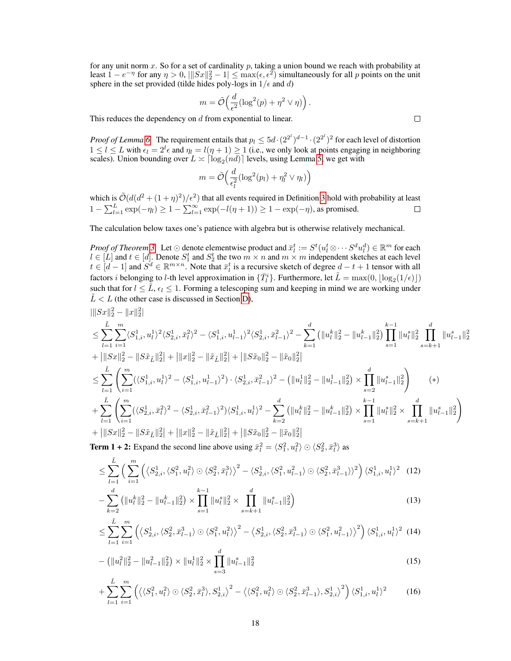for any unit norm x. So for a set of cardinality p, taking a union bound we reach with probability at least  $1 - e^{-\eta}$  for any  $\eta > 0$ ,  $|||Sx||_2^2 - 1| \le \max(\epsilon, \epsilon^2)$  simultaneously for all p points on the unit sphere in the set provided (tilde hides poly-logs in  $1/\epsilon$  and d)

$$
m = \tilde{\mathcal{O}}\left(\frac{d}{\epsilon^2}(\log^2(p) + \eta^2 \vee \eta)\right).
$$

This reduces the dependency on  $d$  from exponential to linear.

*Proof of Lemma* [6.](#page-6-4) The requirement entails that  $p_l \leq 5d \cdot (2^{2^l})^{d-1} \cdot (2^{2^l})^2$  for each level of distortion  $1 \leq l \leq L$  with  $\epsilon_l = 2^l \epsilon$  and  $\eta_l = l(\eta + 1) \geq 1$  (i.e., we only look at points engaging in neighboring scales). Union bounding over  $L \times \lceil \log_2(nd) \rceil$  levels, using Lemma [5,](#page-6-3) we get with

$$
m = \tilde{\mathcal{O}}\left(\frac{d}{\epsilon_l^2} (\log^2(p_l) + \eta_l^2 \vee \eta_l)\right)
$$

which is  $\tilde{\mathcal{O}}(d(d^2 + (1+\eta)^2)/\epsilon^2)$  that all events required in Definition [3](#page-4-2) hold with probability at least 1 −  $\sum_{l=1}^{L}$  exp(-η<sub>l</sub>) ≥ 1 −  $\sum_{l=1}^{\infty}$  exp(-l(η + 1)) ≥ 1 − exp(-η), as promised.

The calculation below taxes one's patience with algebra but is otherwise relatively mechanical.

*Proof of Theorem [3.](#page-7-1)* Let  $\odot$  denote elementwise product and  $\bar{x}_l^t := S^t(u_l^t \otimes \cdots S^d u_l^d) \in \mathbb{R}^m$  for each  $l \in [L]$  and  $t \in [d]$ . Denote  $S_1^t$  and  $S_2^t$  the two  $m \times n$  and  $m \times m$  independent sketches at each level  $t \in [d-1]$  and  $S^d \in \mathbb{R}^{m \times n}$ . Note that  $\bar{x}_t^t$  is a recursive sketch of degree  $d-t+1$  tensor with all factors i belonging to l-th level approximation in  $\{\bar{T}_l^i\}$ . Furthermore, let  $\tilde{L} = \max(0, \lfloor \log_2(1/\epsilon) \rfloor)$ such that for  $l \leq \tilde{L}$ ,  $\epsilon_l \leq 1$ . Forming a telescoping sum and keeping in mind we are working under  $\tilde{L} < L$  (the other case is discussed in Section [D\)](#page-19-0),

$$
\begin{split} &|||Sx||_2^2 - \|x\|_2^2|\\ &\leq \sum_{l=1}^{\tilde{L}}\sum_{i=1}^m \langle S_{1,i}^1,u_l^1\rangle^2 \langle S_{2,i}^1,\bar{x}_l^2\rangle^2 - \langle S_{1,i}^1,u_{l-1}^1\rangle^2 \langle S_{2,i}^1,\bar{x}_{l-1}^2\rangle^2 - \sum_{k=1}^d \left(\|u_l^k\|_2^2 - \|u_{l-1}^k\|_2^2\right) \prod_{s=1}^{k-1} \|u_l^s\|_2^2 \prod_{s=k+1}^d \|u_{l-1}^s\|_2^2\\ &+ \left|\|Sx\|_2^2 - \|S\tilde{x}_{\tilde{L}}\|_2^2| + \big|\|x\|_2^2 - \|\tilde{x}_{\tilde{L}}\|_2^2\big| + \big|\|S\tilde{x}_0\|_2^2 - \|\tilde{x}_0\|_2^2\big|\\ &\leq \sum_{l=1}^{\tilde{L}} \left(\sum_{i=1}^m (\langle S_{1,i}^1,u_l^1\rangle^2 - \langle S_{1,i}^1,u_{l-1}^1\rangle^2) \cdot \langle S_{2,i}^1,\bar{x}_{l-1}^2\rangle^2 - \big(\|u_l^1\|_2^2 - \|u_{l-1}^1\|_2^2\right) \times \prod_{s=2}^d \|u_{l-1}^s\|_2^2\right)\\ &+ \sum_{l=1}^{\tilde{L}} \left(\sum_{i=1}^m (\langle S_{2,i}^1,\bar{x}_l^2\rangle^2 - \langle S_{2,i}^1,\bar{x}_{l-1}^2\rangle^2)\langle S_{1,i}^1,u_l^1\rangle^2 - \sum_{k=2}^d \big(\|u_l^k\|_2^2 - \|u_{l-1}^k\|_2^2\right) \times \prod_{s=1}^d \|u_l^s\|_2^2 \times \prod_{s=k+1}^d \|u_{l-1}^s\|_2^2\right)\\ &+ \big|\|Sx\|_2^2 - \|S\tilde{x}_{\tilde{L}}\|_2^2| + \big|\|x\|_2^2 - \|\tilde{x}_{\tilde{L}}\|_2^2| + \big|\|S\tilde{x}_0\|_2^2 -
$$

$$
\leq \sum_{l=1}^{\tilde{L}} \left( \sum_{i=1}^{m} \left( \langle S_{2,i}^1, \langle S_1^2, u_l^2 \rangle \odot \langle S_2^2, \bar{x}_l^3 \rangle \rangle^2 - \langle S_{2,i}^1, \langle S_1^2, u_{l-1}^2 \rangle \odot \langle S_2^2, \bar{x}_{l-1}^3 \rangle \rangle^2 \right) \langle S_{1,i}^1, u_l^1 \rangle^2 \tag{12}
$$

$$
-\sum_{k=2}^{d} \left( \|u_l^k\|_2^2 - \|u_{l-1}^k\|_2^2 \right) \times \prod_{s=1}^{k-1} \|u_l^s\|_2^2 \times \prod_{s=k+1}^{d} \|u_{l-1}^s\|_2^2
$$
\n
$$
(13)
$$

<span id="page-17-0"></span>
$$
\leq \sum_{l=1}^{\tilde{L}} \sum_{i=1}^{m} \left( \left\langle S_{2,i}^{1}, \langle S_{2}^{2}, \bar{x}_{l-1}^{3} \rangle \odot \langle S_{1}^{2}, u_{l}^{2} \rangle \right\rangle^{2} - \left\langle S_{2,i}^{1}, \langle S_{2}^{2}, \bar{x}_{l-1}^{3} \rangle \odot \langle S_{1}^{2}, u_{l-1}^{2} \rangle \right\rangle^{2} \right) \langle S_{1,i}^{1}, u_{l}^{1} \rangle^{2} (14)
$$

<span id="page-17-1"></span>
$$
-\left(\|u_l^2\|_2^2 - \|u_{l-1}^2\|_2^2\right) \times \|u_l^1\|_2^2 \times \prod_{s=3}^d \|u_{l-1}^s\|_2^2 \tag{15}
$$

<span id="page-17-2"></span>
$$
+\sum_{l=1}^{\tilde{L}}\sum_{i=1}^{m}\left(\left\langle\langle S_{1}^{2}, u_{l}^{2}\rangle\odot\langle S_{2}^{2}, \bar{x}_{l}^{3}\rangle, S_{2,i}^{1}\right\rangle^{2}-\left\langle\langle S_{1}^{2}, u_{l}^{2}\rangle\odot\langle S_{2}^{2}, \bar{x}_{l-1}^{3}\rangle, S_{2,i}^{1}\right\rangle^{2}\right)\langle S_{1,i}^{1}, u_{l}^{1}\rangle^{2}\n\tag{16}
$$

 $\Box$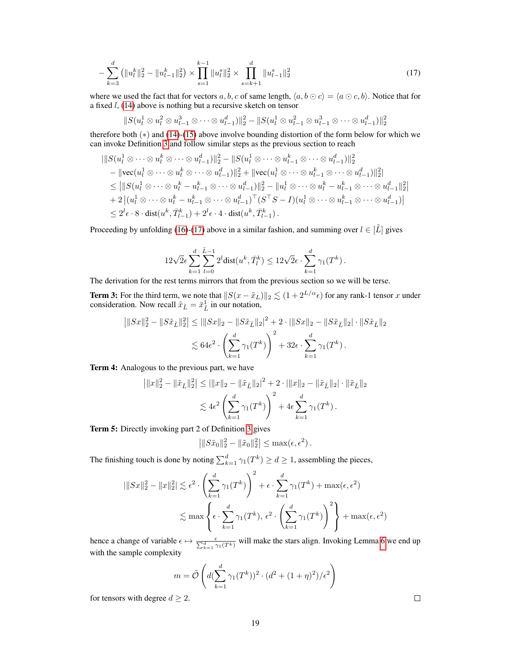$$
-\sum_{k=3}^{d} \left(\|u_{l}^{k}\|_{2}^{2} - \|u_{l-1}^{k}\|_{2}^{2}\right) \times \prod_{s=1}^{k-1} \|u_{l}^{s}\|_{2}^{2} \times \prod_{s=k+1}^{d} \|u_{l-1}^{s}\|_{2}^{2}
$$
\n
$$
(17)
$$

where we used the fact that for vectors a, b, c of same length,  $\langle a, b \odot c \rangle = \langle a \odot c, b \rangle$ . Notice that for a fixed l, [\(14\)](#page-17-0) above is nothing but a recursive sketch on tensor

<span id="page-18-0"></span>
$$
||S(u_l^1 \otimes u_l^2 \otimes u_{l-1}^3 \otimes \cdots \otimes u_{l-1}^d)||_2^2 - ||S(u_l^1 \otimes u_{l-1}^2 \otimes u_{l-1}^3 \otimes \cdots \otimes u_{l-1}^d)||_2^2
$$

therefore both (∗) and [\(14\)](#page-17-0)-[\(15\)](#page-17-1) above involve bounding distortion of the form below for which we can invoke Definition [3](#page-4-2) and follow similar steps as the previous section to reach

$$
\begin{split}\n&\|\left|S(u_l^1 \otimes \cdots \otimes u_l^k \otimes \cdots \otimes u_{l-1}^d)\right\|_2^2 - \|S(u_l^1 \otimes \cdots \otimes u_{l-1}^k \otimes \cdots \otimes u_{l-1}^d)\|_2^2 \\
&- \|\text{vec}(u_l^1 \otimes \cdots \otimes u_l^k \otimes \cdots \otimes u_{l-1}^d)\|_2^2 + \|\text{vec}(u_l^1 \otimes \cdots \otimes u_{l-1}^k \otimes \cdots \otimes u_{l-1}^d)\|_2^2| \\
&\leq \left|\|S(u_l^1 \otimes \cdots \otimes u_l^k - u_{l-1}^k \otimes \cdots \otimes u_{l-1}^d)\|_2^2 - \|u_l^1 \otimes \cdots \otimes u_l^k - u_{l-1}^k \otimes \cdots \otimes u_{l-1}^d\|_2^2\right| \\
&+ 2\left|(u_l^1 \otimes \cdots \otimes u_l^k - u_{l-1}^k \otimes \cdots \otimes u_{l-1}^d)\right\| \leq 2^l \epsilon \cdot 8 \cdot \text{dist}(u^k, \overline{T}_{l-1}^k) + 2^l \epsilon \cdot 4 \cdot \text{dist}(u^k, \overline{T}_{l-1}^k).\n\end{split}
$$

Proceeding by unfolding [\(16\)](#page-17-2)-[\(17\)](#page-18-0) above in a similar fashion, and summing over  $l \in [\tilde{L}]$  gives

$$
12\sqrt{2}\epsilon \sum_{k=1}^{d} \sum_{l=0}^{\tilde{L}-1} 2^{l} \text{dist}(u^{k}, \bar{T}_{l}^{k}) \leq 12\sqrt{2}\epsilon \cdot \sum_{k=1}^{d} \gamma_{1}(T^{k}).
$$

The derivation for the rest terms mirrors that from the previous section so we will be terse.

**Term 3:** For the third term, we note that  $||S(x - \tilde{x}_L)||_2 \lesssim (1 + 2^{L/\alpha} \epsilon)$  for any rank-1 tensor x under consideration. Now recall  $\tilde{x}_{\tilde{L}} = \bar{x}_{\tilde{L}}^1$  in our notation,

$$
\left| \|Sx\|_2^2 - \|S\tilde{x}_{\tilde{L}}\|_2^2 \right| \le \left| \|Sx\|_2 - \|S\tilde{x}_{\tilde{L}}\|_2 \right|^2 + 2 \cdot \left| \|Sx\|_2 - \|S\tilde{x}_{\tilde{L}}\|_2 \right| \cdot \|S\tilde{x}_{\tilde{L}}\|_2
$$
  

$$
\lesssim 64\epsilon^2 \cdot \left( \sum_{k=1}^d \gamma_1(T^k) \right)^2 + 32\epsilon \cdot \sum_{k=1}^d \gamma_1(T^k).
$$

Term 4: Analogous to the previous part, we have

$$
\left| \|x\|_{2}^{2} - \|\tilde{x}_{\tilde{L}}\|_{2}^{2} \right| \leq ||x||_{2} - \|\tilde{x}_{\tilde{L}}\|_{2}|^{2} + 2 \cdot ||x||_{2} - \|\tilde{x}_{\tilde{L}}\|_{2}| \cdot \|\tilde{x}_{\tilde{L}}\|_{2}
$$

$$
\lesssim 4\epsilon^{2} \left( \sum_{k=1}^{d} \gamma_{1}(T^{k}) \right)^{2} + 4\epsilon \sum_{k=1}^{d} \gamma_{1}(T^{k}).
$$

Term 5: Directly invoking part 2 of Definition [3](#page-4-2) gives

$$
\left| \|S\tilde{x}_0\|_2^2 - \|\tilde{x}_0\|_2^2 \right| \leq \max(\epsilon, \epsilon^2).
$$

The finishing touch is done by noting  $\sum_{k=1}^{d} \gamma_1(T^k) \ge d \ge 1$ , assembling the pieces,

$$
|\|Sx\|_2^2 - \|x\|_2^2| \lesssim \epsilon^2 \cdot \left(\sum_{k=1}^d \gamma_1(T^k)\right)^2 + \epsilon \cdot \sum_{k=1}^d \gamma_1(T^k) + \max(\epsilon, \epsilon^2)
$$

$$
\lesssim \max\left\{\epsilon \cdot \sum_{k=1}^d \gamma_1(T^k), \epsilon^2 \cdot \left(\sum_{k=1}^d \gamma_1(T^k)\right)^2\right\} + \max(\epsilon, \epsilon^2)
$$

hence a change of variable  $\epsilon \mapsto \frac{\epsilon}{\sum_{k=1}^d \gamma_1(T^k)}$  will make the stars align. Invoking Lemma [6](#page-6-4) we end up with the sample complexity

$$
m = \tilde{\mathcal{O}}\left(d\left(\sum_{k=1}^{d} \gamma_1(T^k)\right)^2 \cdot (d^2 + (1+\eta)^2)/\epsilon^2\right)
$$

for tensors with degree  $d \geq 2$ .

 $\Box$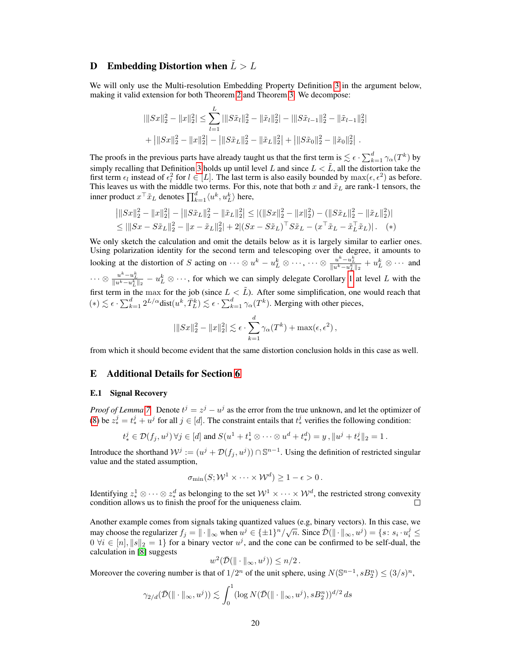# <span id="page-19-0"></span>**D** Embedding Distortion when  $\tilde{L} > L$

We will only use the Multi-resolution Embedding Property Definition [3](#page-4-2) in the argument below, making it valid extension for both Theorem [2](#page-5-1) and Theorem [3.](#page-7-1) We decompose:

$$
|\|Sx\|_2^2 - \|x\|_2^2| \le \sum_{l=1}^L \|\|S\tilde{x}_l\|_2^2 - \|\tilde{x}_l\|_2^2| - \|\|S\tilde{x}_{l-1}\|_2^2 - \|\tilde{x}_{l-1}\|_2^2| + \|\|Sx\|_2^2 - \|x\|_2^2| - \|\|S\tilde{x}_L\|_2^2 - \|\tilde{x}_L\|_2^2| + \|\|S\tilde{x}_0\|_2^2 - \|\tilde{x}_0\|_2^2|.
$$

The proofs in the previous parts have already taught us that the first term is  $\lesssim \epsilon \cdot \sum_{k=1}^d \gamma_\alpha(T^k)$  by simply recalling that Definition [3](#page-4-2) holds up until level L and since  $L < \tilde{L}$ , all the distortion take the first term  $\epsilon_l$  instead of  $\epsilon_l^2$  for  $l \in [L]$ . The last term is also easily bounded by  $\max(\epsilon, \epsilon^2)$  as before. This leaves us with the middle two terms. For this, note that both x and  $\tilde{x}_L$  are rank-1 tensors, the inner product  $x^\top \tilde{x}_L$  denotes  $\prod_{k=1}^d \langle u^k, u^k_L \rangle$  here,

$$
\begin{aligned} &\left|\|Sx\|_{2}^{2} - \|x\|_{2}^{2}\right| - \left|\|S\tilde{x}_{L}\|_{2}^{2} - \|\tilde{x}_{L}\|_{2}^{2}\right| \leq |(\|Sx\|_{2}^{2} - \|x\|_{2}^{2}) - (\|S\tilde{x}_{L}\|_{2}^{2} - \|\tilde{x}_{L}\|_{2}^{2})| \\ &\leq \|\|Sx - S\tilde{x}_{L}\|_{2}^{2} - \|x - \tilde{x}_{L}\|_{2}^{2}| + 2|(Sx - S\tilde{x}_{L})^{\top}S\tilde{x}_{L} - (x^{\top}\tilde{x}_{L} - \tilde{x}_{L}^{\top}\tilde{x}_{L})|. \end{aligned}
$$
 (\*)

We only sketch the calculation and omit the details below as it is largely similar to earlier ones. Using polarization identity for the second term and telescoping over the degree, it amounts to looking at the distortion of S acting on  $\cdots \otimes u^k - u_L^k \otimes \cdots$ ,  $\cdots \otimes \frac{u^k - u_L^k}{\|u^k - u_L^k\|_2} + u_L^k \otimes \cdots$  and  $\cdots \otimes \frac{u^k - u_L^k}{\|u^k - u_L^k\|_2} - u_L^k \otimes \cdots$ , for which we can simply delegate Corollary [1](#page-13-0) at level L with the first term in the max for the job (since  $L < \tilde{L}$ ). After some simplification, one would reach that  $(*) \lesssim \epsilon \cdot \sum_{k=1}^d 2^{L/\alpha} \text{dist}(u^k, \bar{T}_L^k) \lesssim \epsilon \cdot \sum_{k=1}^d \gamma_\alpha(T^k)$ . Merging with other pieces,

$$
\left|\|Sx\|_2^2 - \|x\|_2^2\right| \lesssim \epsilon \cdot \sum_{k=1}^d \gamma_\alpha(T^k) + \max(\epsilon, \epsilon^2),
$$

from which it should become evident that the same distortion conclusion holds in this case as well.

## <span id="page-19-1"></span>E Additional Details for Section [6](#page-7-4)

## E.1 Signal Recovery

*Proof of Lemma* [7.](#page-8-1) Denote  $t^j = z^j - u^j$  as the error from the true unknown, and let the optimizer of [\(8\)](#page-7-2) be  $z_*^j = t_*^j + u^j$  for all  $j \in [d]$ . The constraint entails that  $t_*^j$  verifies the following condition:

$$
t_*^j \in \mathcal{D}(f_j, u^j) \,\forall j \in [d] \text{ and } S(u^1 + t_*^1 \otimes \cdots \otimes u^d + t_*^d) = y \,, \|u^j + t_*^j\|_2 = 1 \,.
$$

Introduce the shorthand  $\mathcal{W}^j := (u^j + \mathcal{D}(f_j, u^j)) \cap \mathbb{S}^{n-1}$ . Using the definition of restricted singular value and the stated assumption,

$$
\sigma_{\min}(S; \mathcal{W}^1 \times \cdots \times \mathcal{W}^d) \ge 1 - \epsilon > 0\,.
$$

Identifying  $z_*^1 \otimes \cdots \otimes z_*^d$  as belonging to the set  $\mathcal{W}^1 \times \cdots \times \mathcal{W}^d$ , the restricted strong convexity condition allows us to finish the proof for the uniqueness claim.

Another example comes from signals taking quantized values (e.g, binary vectors). In this case, we Abouter example comes from signals taking quantized values (e.g. of that y vectors). In this case, we may choose the regularizer  $f_j = \|\cdot\|_{\infty}$  when  $u^j \in {\{\pm 1\}}^n / \sqrt{n}$ . Since  $\bar{\mathcal{D}}(\|\cdot\|_{\infty}, u^j) = \{s : s_i \cdot u_i^j \leq$  $0 \forall i \in [n], ||s||_2 = 1$  for a binary vector  $u^j$ , and the cone can be confirmed to be self-dual, the calculation in [\[8\]](#page-9-14) suggests

$$
w^2(\bar{\mathcal{D}}(\|\cdot\|_{\infty},u^j))\leq n/2.
$$

Moreover the covering number is that of  $1/2^n$  of the unit sphere, using  $N(\mathbb{S}^{n-1}, sB_2^n) \leq (3/s)^n$ ,

$$
\gamma_{2/d}(\bar{\mathcal{D}}(\|\cdot\|_{\infty},u^j)) \lesssim \int_0^1 (\log N(\bar{\mathcal{D}}(\|\cdot\|_{\infty},u^j),sB_2^n))^{d/2} ds
$$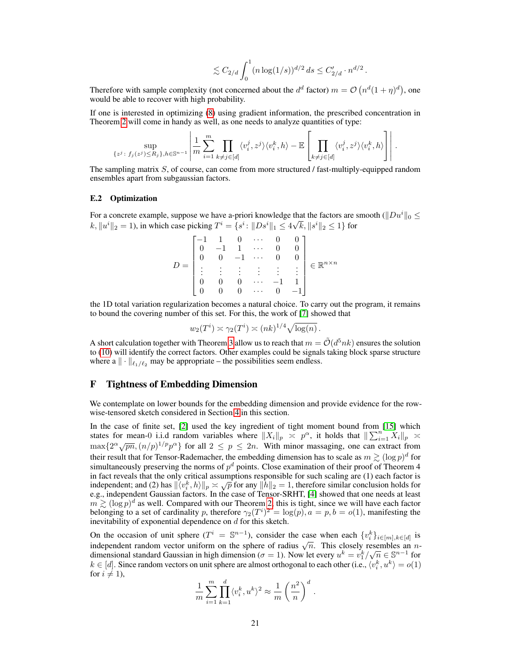$$
\lesssim C_{2/d} \int_0^1 (n \log(1/s))^{d/2} ds \le C'_{2/d} \cdot n^{d/2}
$$

.

Therefore with sample complexity (not concerned about the  $d^d$  factor)  $m = \mathcal{O}(n^d(1+\eta)^d)$ , one would be able to recover with high probability.

If one is interested in optimizing [\(8\)](#page-7-2) using gradient information, the prescribed concentration in Theorem [2](#page-5-1) will come in handy as well, as one needs to analyze quantities of type:

$$
\sup_{\{z^j\colon f_j(z^j)\le R_j\}, h\in\mathbb{S}^{n-1}} \left| \frac{1}{m} \sum_{i=1}^m \prod_{k\ne j \in [d]} \langle v_i^j, z^j\rangle \langle v_i^k, h\rangle - \mathbb{E}\left[\prod_{k\ne j \in [d]} \langle v_i^j, z^j\rangle \langle v_i^k, h\rangle\right] \right|.
$$

The sampling matrix S, of course, can come from more structured / fast-multiply-equipped random ensembles apart from subgaussian factors.

## E.2 Optimization

For a concrete example, suppose we have a-priori knowledge that the factors are smooth  $(\Vert Du^i\Vert_0 \leq \sqrt{\frac{1}{n}}\Vert Du^i\Vert_0 \leq \sqrt{\frac{1}{n}}\Vert Du^i\Vert_0$  $k, \|u^i\|_2 = 1$ ), in which case picking  $T^i = \{s^i \colon \|Ds^i\|_1 \le 4\sqrt{k}, \|s^i\|_2 \le 1\}$  for

$$
D = \begin{bmatrix} -1 & 1 & 0 & \cdots & 0 & 0 \\ 0 & -1 & 1 & \cdots & 0 & 0 \\ 0 & 0 & -1 & \cdots & 0 & 0 \\ \vdots & \vdots & \vdots & \vdots & \vdots & \vdots \\ 0 & 0 & 0 & \cdots & -1 & 1 \\ 0 & 0 & 0 & \cdots & 0 & -1 \end{bmatrix} \in \mathbb{R}^{n \times n}
$$

the 1D total variation regularization becomes a natural choice. To carry out the program, it remains to bound the covering number of this set. For this, the work of [\[7\]](#page-9-16) showed that

$$
w_2(T^i) \asymp \gamma_2(T^i) \asymp (nk)^{1/4} \sqrt{\log(n)}.
$$

A short calculation together with Theorem [3](#page-7-1) allow us to reach that  $m = \tilde{\mathcal{O}}(d^5nk)$  ensures the solution to [\(10\)](#page-8-2) will identify the correct factors. Other examples could be signals taking block sparse structure where a  $\|\cdot\|_{\ell_1/\ell_2}$  may be appropriate – the possibilities seem endless.

## <span id="page-20-0"></span>F Tightness of Embedding Dimension

We contemplate on lower bounds for the embedding dimension and provide evidence for the rowwise-tensored sketch considered in Section [4](#page-3-0) in this section.

In the case of finite set, [\[2\]](#page-9-9) used the key ingredient of tight moment bound from [\[15\]](#page-9-17) which states for mean-0 i.i.d random variables where  $||X_i||_p \leq p^{\alpha}$ , it holds that  $||\sum_{i=1}^n X_i||_p \geq$  $\max\{2^{\alpha}\sqrt{pn}, (n/p)^{1/p}p^{\alpha}\}\$  for all  $2 \le p \le 2n$ . With minor massaging, one can extract from their result that for Tensor-Rademacher, the embedding dimension has to scale as  $m \gtrsim (\log p)^d$  for simultaneously preserving the norms of  $p^d$  points. Close examination of their proof of Theorem 4 in fact reveals that the only critical assumptions responsible for such scaling are (1) each factor is in fact reveals that the only critical assumptions responsible for such scaling are (1) each factor is independent; and (2) has  $\|\langle v_i^k, h \rangle\|_p \asymp \sqrt{p}$  for any  $\|h\|_2 = 1$ , therefore similar conclusion holds for e.g., independent Gaussian factors. In the case of Tensor-SRHT, [\[4\]](#page-9-12) showed that one needs at least  $m \gtrsim (\log p)^d$  as well. Compared with our Theorem [2,](#page-5-1) this is tight, since we will have each factor belonging to a set of cardinality p, therefore  $\gamma_2(T^i)^2 = \log(p)$ ,  $a = p, b = o(1)$ , manifesting the inevitability of exponential dependence on  $d$  for this sketch.

On the occasion of unit sphere  $(T^i = \mathbb{S}^{n-1})$ , consider the case when each  $\{v_i^k\}_{i \in [m], k \in [d]}$  is on the occasion of thin sphere  $(T - S)$ , consider the case when each  $\{v_i\}_{i \in [m], k \in [d]}$  is dependent random vector uniform on the sphere of radius  $\sqrt{n}$ . This closely resembles an *n*dimensional standard Gaussian in high dimension ( $\sigma = 1$ ). Now let every  $u^k = v_1^k / \sqrt{n} \in \mathbb{S}^{n-1}$  for  $k \in [d]$ . Since random vectors on unit sphere are almost orthogonal to each other (i.e.,  $\langle v_i^k, u^k \rangle = o(1)$ for  $i \neq 1$ ),

$$
\frac{1}{m}\sum_{i=1}^m \prod_{k=1}^d \langle v_i^k, u^k \rangle^2 \approx \frac{1}{m} \left(\frac{n^2}{n}\right)^d.
$$